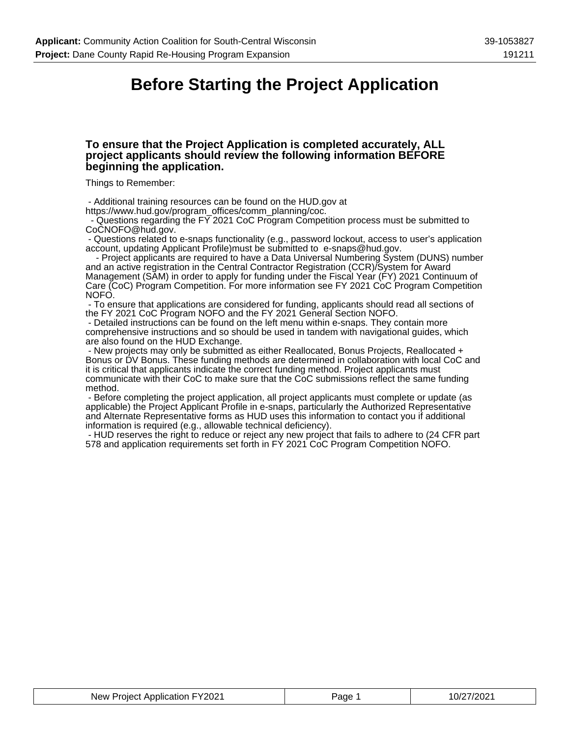### **Before Starting the Project Application**

#### **To ensure that the Project Application is completed accurately, ALL project applicants should review the following information BEFORE beginning the application.**

Things to Remember:

- Additional training resources can be found on the HUD.gov at

https://www.hud.gov/program\_offices/comm\_planning/coc.

 - Questions regarding the FY 2021 CoC Program Competition process must be submitted to CoCNOFO@hud.gov.

 - Questions related to e-snaps functionality (e.g., password lockout, access to user's application account, updating Applicant Profile)must be submitted to e-snaps@hud.gov.

 - Project applicants are required to have a Data Universal Numbering System (DUNS) number and an active registration in the Central Contractor Registration (CCR)/System for Award Management (SAM) in order to apply for funding under the Fiscal Year (FY) 2021 Continuum of Care (CoC) Program Competition. For more information see FY 2021 CoC Program Competition NOFO.

 - To ensure that applications are considered for funding, applicants should read all sections of the FY 2021 CoC Program NOFO and the FY 2021 General Section NOFO.

 - Detailed instructions can be found on the left menu within e-snaps. They contain more comprehensive instructions and so should be used in tandem with navigational guides, which are also found on the HUD Exchange.

 - New projects may only be submitted as either Reallocated, Bonus Projects, Reallocated + Bonus or DV Bonus. These funding methods are determined in collaboration with local CoC and it is critical that applicants indicate the correct funding method. Project applicants must communicate with their CoC to make sure that the CoC submissions reflect the same funding method.

 - Before completing the project application, all project applicants must complete or update (as applicable) the Project Applicant Profile in e-snaps, particularly the Authorized Representative and Alternate Representative forms as HUD uses this information to contact you if additional information is required (e.g., allowable technical deficiency).

 - HUD reserves the right to reduce or reject any new project that fails to adhere to (24 CFR part 578 and application requirements set forth in FY 2021 CoC Program Competition NOFO.

| ∟∨າ∩າ⊿<br>Application<br>New<br>.<br>'OIACT<br>™ ∠∪∠ | aɑe | 0/2<br>פחלו |
|------------------------------------------------------|-----|-------------|
|------------------------------------------------------|-----|-------------|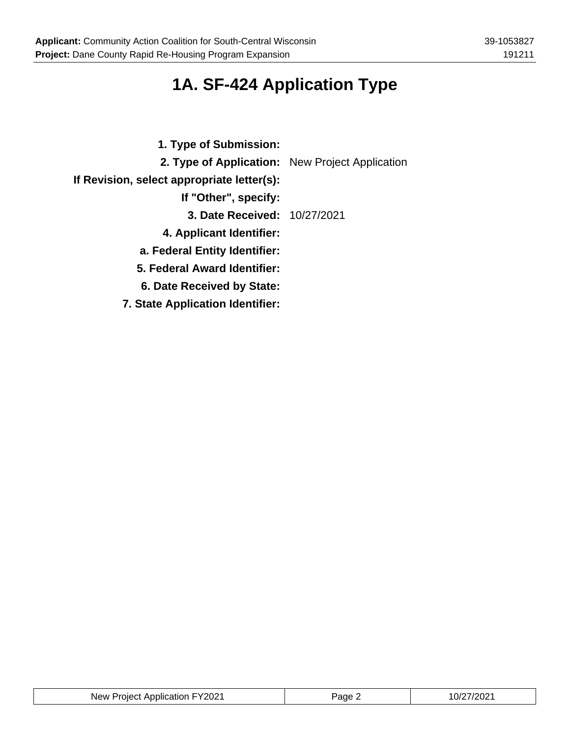# **1A. SF-424 Application Type**

| 1. Type of Submission:                          |  |
|-------------------------------------------------|--|
| 2. Type of Application: New Project Application |  |
| If Revision, select appropriate letter(s):      |  |
| If "Other", specify:                            |  |
| 3. Date Received: 10/27/2021                    |  |
| 4. Applicant Identifier:                        |  |
| a. Federal Entity Identifier:                   |  |
| 5. Federal Award Identifier:                    |  |
| 6. Date Received by State:                      |  |
| <b>7. State Application Identifier:</b>         |  |

| New Project Application FY2021 | Paɑe | 10/27/2021 |
|--------------------------------|------|------------|
|--------------------------------|------|------------|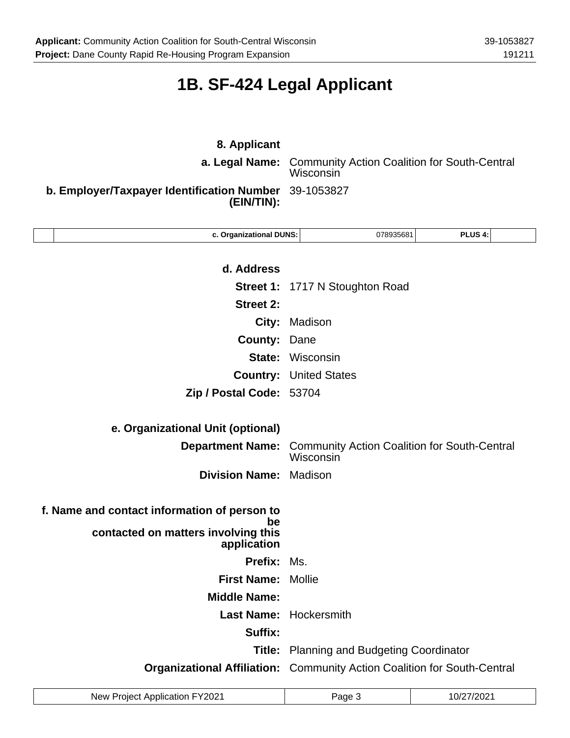# **1B. SF-424 Legal Applicant**

| 8. Applicant                                             | <b>a. Legal Name:</b> Community Action Coalition for South-Central<br>Wisconsin |  |
|----------------------------------------------------------|---------------------------------------------------------------------------------|--|
| b. Employer/Taxpayer Identification Number<br>(EIN/TIN): | 39-1053827                                                                      |  |
| c. Organizational DUNS:                                  | PLUS <sub>4:</sub><br>078935681                                                 |  |
| d. Address                                               |                                                                                 |  |
|                                                          | <b>Street 1: 1717 N Stoughton Road</b>                                          |  |
| <b>Street 2:</b>                                         |                                                                                 |  |
|                                                          | City: Madison                                                                   |  |
| <b>County: Dane</b>                                      |                                                                                 |  |
|                                                          | <b>State: Wisconsin</b>                                                         |  |
|                                                          | <b>Country: United States</b>                                                   |  |
| Zip / Postal Code: 53704                                 |                                                                                 |  |

| e. Organizational Unit (optional)                                                                        |                                                                                   |
|----------------------------------------------------------------------------------------------------------|-----------------------------------------------------------------------------------|
|                                                                                                          | <b>Department Name:</b> Community Action Coalition for South-Central<br>Wisconsin |
| <b>Division Name: Madison</b>                                                                            |                                                                                   |
| f. Name and contact information of person to<br>be<br>contacted on matters involving this<br>application |                                                                                   |
| <b>Prefix: Ms.</b>                                                                                       |                                                                                   |
| <b>First Name: Mollie</b>                                                                                |                                                                                   |
| <b>Middle Name:</b>                                                                                      |                                                                                   |
|                                                                                                          | <b>Last Name: Hockersmith</b>                                                     |
| Suffix:                                                                                                  |                                                                                   |
|                                                                                                          | <b>Title:</b> Planning and Budgeting Coordinator                                  |

**Organizational Affiliation:** Community Action Coalition for South-Central

| New Project Application FY2021 | Page : | 7/2021<br>'0/2 |
|--------------------------------|--------|----------------|
|--------------------------------|--------|----------------|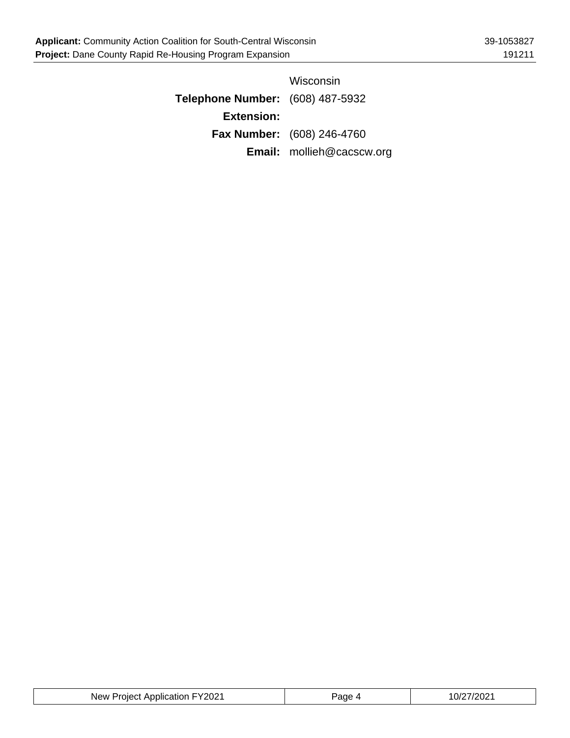|                                         | Wisconsin                         |
|-----------------------------------------|-----------------------------------|
| <b>Telephone Number:</b> (608) 487-5932 |                                   |
| <b>Extension:</b>                       |                                   |
|                                         | <b>Fax Number:</b> (608) 246-4760 |
|                                         | <b>Email:</b> mollieh@cacscw.org  |

| FY2021<br>New Project Application | Page | 10/27/2021 |
|-----------------------------------|------|------------|
|-----------------------------------|------|------------|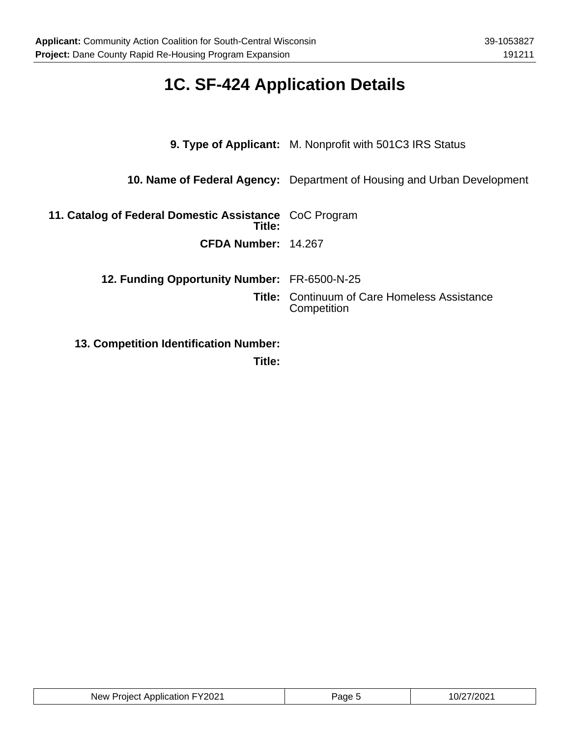٦

# **1C. SF-424 Application Details**

|                                                                  | 9. Type of Applicant: M. Nonprofit with 501C3 IRS Status                |
|------------------------------------------------------------------|-------------------------------------------------------------------------|
|                                                                  | 10. Name of Federal Agency: Department of Housing and Urban Development |
| 11. Catalog of Federal Domestic Assistance CoC Program<br>Title: |                                                                         |
| CFDA Number: 14.267                                              |                                                                         |
| <b>12. Funding Opportunity Number: FR-6500-N-25</b>              |                                                                         |
|                                                                  | <b>Title: Continuum of Care Homeless Assistance</b><br>Competition      |
| <b>13. Competition Identification Number:</b>                    |                                                                         |

**Title:**

| FY2021<br>New<br><b>Project Application</b><br>ane? | 7/2021<br>10/2 |
|-----------------------------------------------------|----------------|
|-----------------------------------------------------|----------------|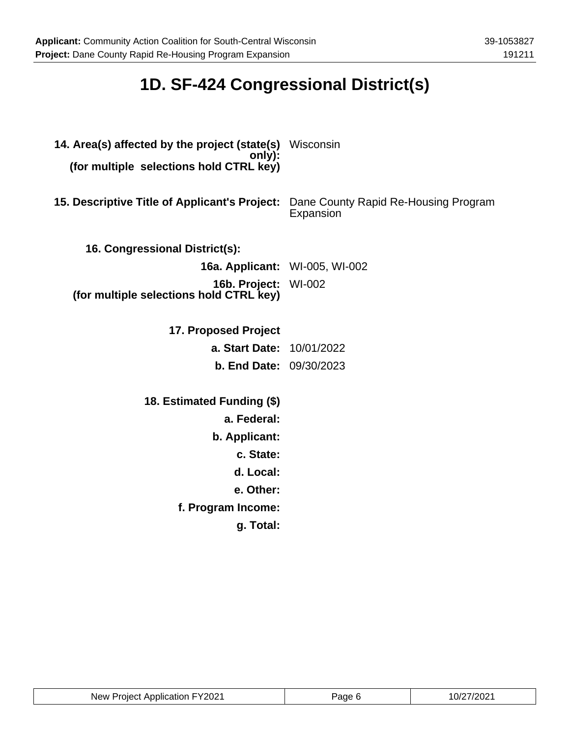# **1D. SF-424 Congressional District(s)**

| 14. Area(s) affected by the project (state(s) Wisconsin<br>only):<br>(for multiple selections hold CTRL key) |                                                   |
|--------------------------------------------------------------------------------------------------------------|---------------------------------------------------|
| 15. Descriptive Title of Applicant's Project:                                                                | Dane County Rapid Re-Housing Program<br>Expansion |
| 16. Congressional District(s):                                                                               |                                                   |
| <b>16a. Applicant:</b> WI-005, WI-002                                                                        |                                                   |
| <b>16b. Project: WI-002</b><br>(for multiple selections hold CTRL key)                                       |                                                   |
| 17. Proposed Project                                                                                         |                                                   |
| a. Start Date: 10/01/2022                                                                                    |                                                   |
| <b>b. End Date: 09/30/2023</b>                                                                               |                                                   |
| 18. Estimated Funding (\$)                                                                                   |                                                   |
| a. Federal:                                                                                                  |                                                   |
| b. Applicant:                                                                                                |                                                   |
| c. State:                                                                                                    |                                                   |
| d. Local:                                                                                                    |                                                   |
| e. Other:                                                                                                    |                                                   |
| f. Program Income:                                                                                           |                                                   |
| g. Total:                                                                                                    |                                                   |

| New Project Application FY2021 | Page | 10/27/2021 |
|--------------------------------|------|------------|
|--------------------------------|------|------------|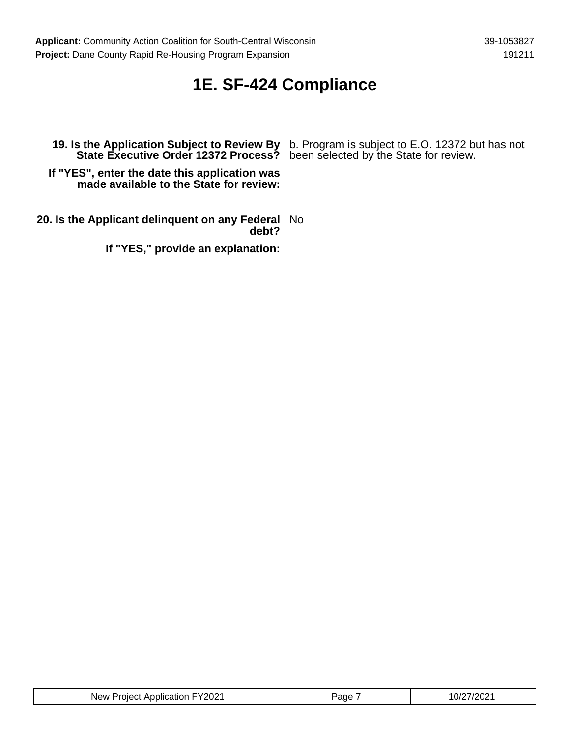### **1E. SF-424 Compliance**

**State Executive Order 12372 Process?** been selected by the State for review.

**19. Is the Application Subject to Review By** b. Program is subject to E.O. 12372 but has not

**If "YES", enter the date this application was made available to the State for review:**

**20. Is the Applicant delinquent on any Federal** No **debt?**

**If "YES," provide an explanation:**

| New Project Application FY2021 | Page | 10/27/2021 |
|--------------------------------|------|------------|
|--------------------------------|------|------------|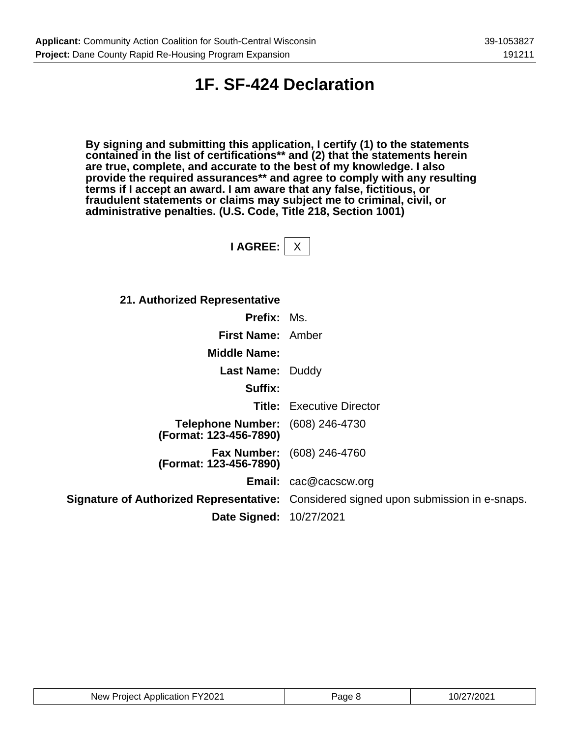### **1F. SF-424 Declaration**

**By signing and submitting this application, I certify (1) to the statements contained in the list of certifications\*\* and (2) that the statements herein are true, complete, and accurate to the best of my knowledge. I also provide the required assurances\*\* and agree to comply with any resulting terms if I accept an award. I am aware that any false, fictitious, or fraudulent statements or claims may subject me to criminal, civil, or administrative penalties. (U.S. Code, Title 218, Section 1001)**

**I AGREE:** X

**21. Authorized Representative**

| <b>Prefix: Ms.</b>                                                |                                                                                       |
|-------------------------------------------------------------------|---------------------------------------------------------------------------------------|
| First Name: Amber                                                 |                                                                                       |
| <b>Middle Name:</b>                                               |                                                                                       |
| <b>Last Name: Duddy</b>                                           |                                                                                       |
| Suffix:                                                           |                                                                                       |
|                                                                   | <b>Title:</b> Executive Director                                                      |
| <b>Telephone Number:</b> (608) 246-4730<br>(Format: 123-456-7890) |                                                                                       |
| <b>Fax Number:</b><br>(Format: 123-456-7890)                      | (608) 246-4760                                                                        |
|                                                                   | <b>Email:</b> cac@cacscw.org                                                          |
|                                                                   | Signature of Authorized Representative: Considered signed upon submission in e-snaps. |
| Date Signed: 10/27/2021                                           |                                                                                       |

| New Project Application FY2021 | Page 8 | 10/27/2021 |
|--------------------------------|--------|------------|
|--------------------------------|--------|------------|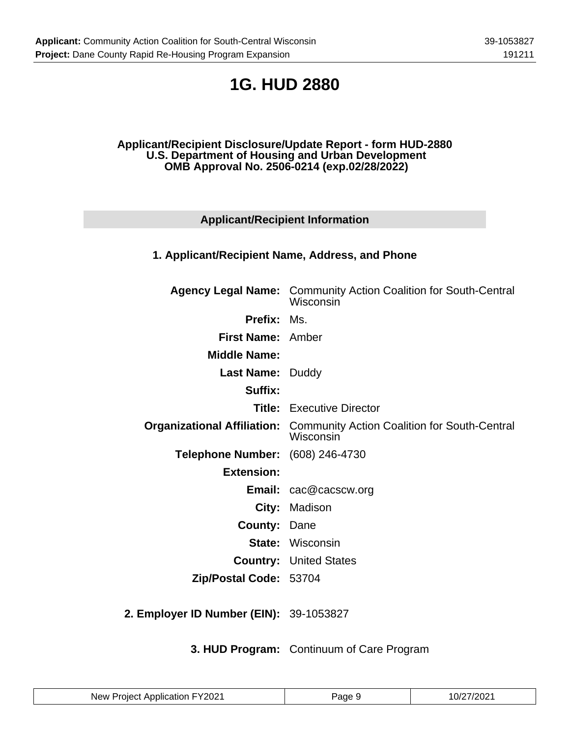## **1G. HUD 2880**

#### **Applicant/Recipient Disclosure/Update Report - form HUD-2880 U.S. Department of Housing and Urban Development OMB Approval No. 2506-0214 (exp.02/28/2022)**

### **Applicant/Recipient Information**

#### **1. Applicant/Recipient Name, Address, and Phone**

|                                  | <b>Agency Legal Name:</b> Community Action Coalition for South-Central<br>Wisconsin          |
|----------------------------------|----------------------------------------------------------------------------------------------|
| <b>Prefix: Ms.</b>               |                                                                                              |
| <b>First Name: Amber</b>         |                                                                                              |
| <b>Middle Name:</b>              |                                                                                              |
| <b>Last Name: Duddy</b>          |                                                                                              |
| Suffix:                          |                                                                                              |
|                                  | <b>Title:</b> Executive Director                                                             |
|                                  | <b>Organizational Affiliation:</b> Community Action Coalition for South-Central<br>Wisconsin |
| Telephone Number: (608) 246-4730 |                                                                                              |
| <b>Extension:</b>                |                                                                                              |
|                                  | <b>Email:</b> cac@cacscw.org                                                                 |
|                                  | City: Madison                                                                                |
| <b>County: Dane</b>              |                                                                                              |
|                                  | <b>State: Wisconsin</b>                                                                      |
|                                  | <b>Country: United States</b>                                                                |
| Zip/Postal Code: 53704           |                                                                                              |
|                                  |                                                                                              |

**2. Employer ID Number (EIN):** 39-1053827

**3. HUD Program:** Continuum of Care Program

| New Project Application FY2021 | Page 9 | 10/27/2021 |
|--------------------------------|--------|------------|
|--------------------------------|--------|------------|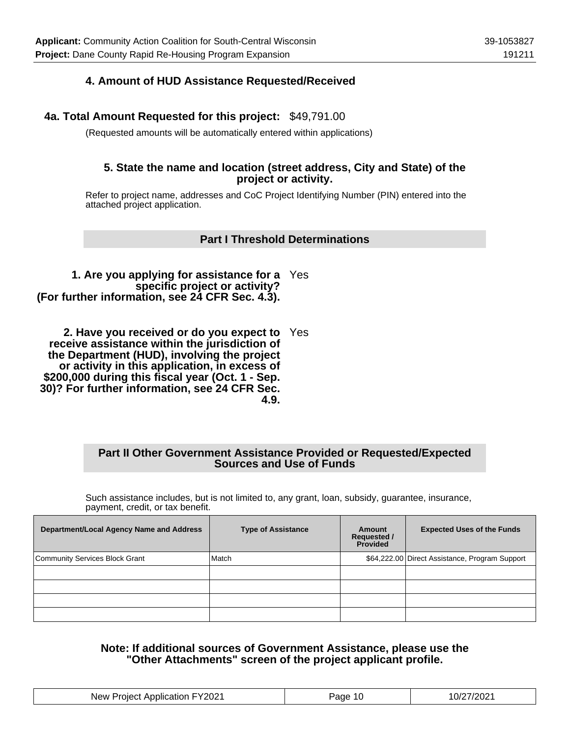### **4. Amount of HUD Assistance Requested/Received**

#### **4a. Total Amount Requested for this project:** \$49,791.00

(Requested amounts will be automatically entered within applications)

#### **5. State the name and location (street address, City and State) of the project or activity.**

Refer to project name, addresses and CoC Project Identifying Number (PIN) entered into the attached project application.

#### **Part I Threshold Determinations**

**1. Are you applying for assistance for a** Yes **specific project or activity? (For further information, see 24 CFR Sec. 4.3).**

**2. Have you received or do you expect to** Yes **receive assistance within the jurisdiction of the Department (HUD), involving the project or activity in this application, in excess of \$200,000 during this fiscal year (Oct. 1 - Sep. 30)? For further information, see 24 CFR Sec. 4.9.**

#### **Part II Other Government Assistance Provided or Requested/Expected Sources and Use of Funds**

Such assistance includes, but is not limited to, any grant, loan, subsidy, guarantee, insurance, payment, credit, or tax benefit.

| Department/Local Agency Name and Address | <b>Type of Assistance</b> | Amount<br><b>Requested /</b><br><b>Provided</b> | <b>Expected Uses of the Funds</b>              |
|------------------------------------------|---------------------------|-------------------------------------------------|------------------------------------------------|
| Community Services Block Grant           | Match                     |                                                 | \$64,222.00 Direct Assistance, Program Support |
|                                          |                           |                                                 |                                                |
|                                          |                           |                                                 |                                                |
|                                          |                           |                                                 |                                                |
|                                          |                           |                                                 |                                                |

**Note: If additional sources of Government Assistance, please use the "Other Attachments" screen of the project applicant profile.**

| FY2021<br><b>New</b><br>Application<br>Project | Page | ?7/2021<br>$10^{\circ}$ |
|------------------------------------------------|------|-------------------------|
|------------------------------------------------|------|-------------------------|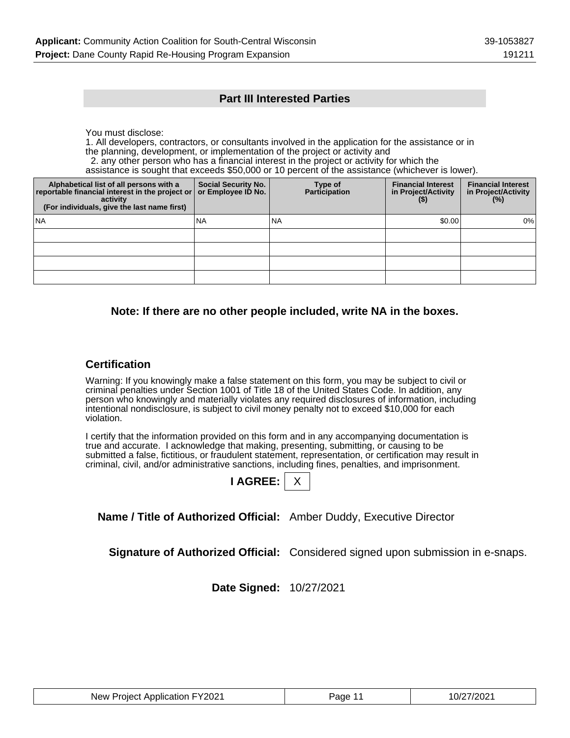#### **Part III Interested Parties**

You must disclose:

1. All developers, contractors, or consultants involved in the application for the assistance or in the planning, development, or implementation of the project or activity and

2. any other person who has a financial interest in the project or activity for which the

assistance is sought that exceeds \$50,000 or 10 percent of the assistance (whichever is lower).

| Alphabetical list of all persons with a<br>reportable financial interest in the project or<br>activity<br>(For individuals, give the last name first) | <b>Social Security No.</b><br>or Employee ID No. | Type of<br><b>Participation</b> | <b>Financial Interest</b><br>in Project/Activity<br>$($ \$) | <b>Financial Interest</b><br>in Project/Activity<br>$(\%)$ |
|-------------------------------------------------------------------------------------------------------------------------------------------------------|--------------------------------------------------|---------------------------------|-------------------------------------------------------------|------------------------------------------------------------|
| l NA                                                                                                                                                  | <b>NA</b>                                        | INA                             | \$0.00                                                      | 0%                                                         |
|                                                                                                                                                       |                                                  |                                 |                                                             |                                                            |
|                                                                                                                                                       |                                                  |                                 |                                                             |                                                            |
|                                                                                                                                                       |                                                  |                                 |                                                             |                                                            |
|                                                                                                                                                       |                                                  |                                 |                                                             |                                                            |

#### **Note: If there are no other people included, write NA in the boxes.**

#### **Certification**

Warning: If you knowingly make a false statement on this form, you may be subject to civil or criminal penalties under Section 1001 of Title 18 of the United States Code. In addition, any person who knowingly and materially violates any required disclosures of information, including intentional nondisclosure, is subject to civil money penalty not to exceed \$10,000 for each violation.

I certify that the information provided on this form and in any accompanying documentation is true and accurate. I acknowledge that making, presenting, submitting, or causing to be submitted a false, fictitious, or fraudulent statement, representation, or certification may result in criminal, civil, and/or administrative sanctions, including fines, penalties, and imprisonment.

**Name / Title of Authorized Official:** Amber Duddy, Executive Director

**Signature of Authorized Official:** Considered signed upon submission in e-snaps.

**Date Signed:** 10/27/2021

| New Project Application FY2021 | Page 11 | 10/27/2021 |
|--------------------------------|---------|------------|
|--------------------------------|---------|------------|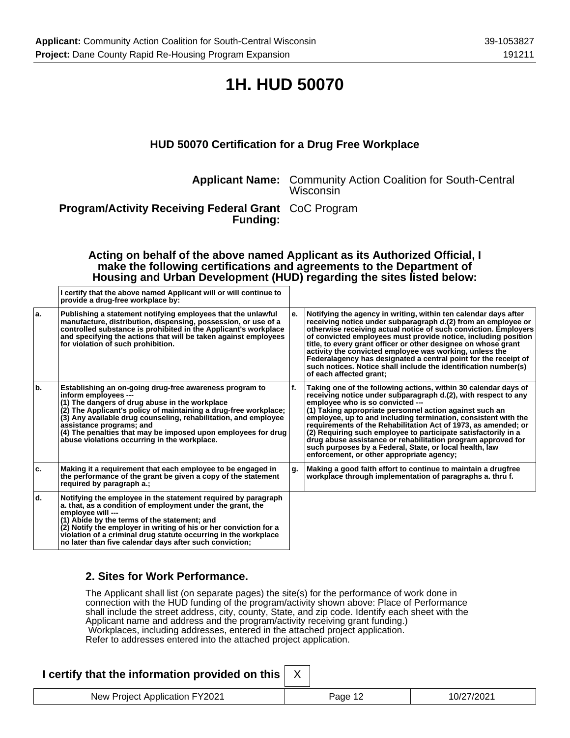### **1H. HUD 50070**

### **HUD 50070 Certification for a Drug Free Workplace**

**Applicant Name:** Community Action Coalition for South-Central Wisconsin

**Program/Activity Receiving Federal Grant** CoC Program **Funding:**

#### **Acting on behalf of the above named Applicant as its Authorized Official, I make the following certifications and agreements to the Department of Housing and Urban Development (HUD) regarding the sites listed below:**

|     | I certify that the above named Applicant will or will continue to<br>provide a drug-free workplace by:                                                                                                                                                                                                                                                                                                                |     |                                                                                                                                                                                                                                                                                                                                                                                                                                                                                                                                                                                                                |
|-----|-----------------------------------------------------------------------------------------------------------------------------------------------------------------------------------------------------------------------------------------------------------------------------------------------------------------------------------------------------------------------------------------------------------------------|-----|----------------------------------------------------------------------------------------------------------------------------------------------------------------------------------------------------------------------------------------------------------------------------------------------------------------------------------------------------------------------------------------------------------------------------------------------------------------------------------------------------------------------------------------------------------------------------------------------------------------|
| ۱a. | Publishing a statement notifying employees that the unlawful<br>manufacture, distribution, dispensing, possession, or use of a<br>controlled substance is prohibited in the Applicant's workplace<br>and specifying the actions that will be taken against employees<br>for violation of such prohibition.                                                                                                            | е.  | Notifying the agency in writing, within ten calendar days after<br>receiving notice under subparagraph d.(2) from an employee or<br>otherwise receiving actual notice of such conviction. Employers<br>of convicted employees must provide notice, including position<br>title, to every grant officer or other designee on whose grant<br>activity the convicted employee was working, unless the<br>Federalagency has designated a central point for the receipt of<br>such notices. Notice shall include the identification number(s)<br>of each affected grant;                                            |
| ١b. | Establishing an on-going drug-free awareness program to<br>inform employees ---<br>(1) The dangers of drug abuse in the workplace<br>(2) The Applicant's policy of maintaining a drug-free workplace;<br>(3) Any available drug counseling, rehabilitation, and employee<br>assistance programs; and<br>(4) The penalties that may be imposed upon employees for drug<br>abuse violations occurring in the workplace. | lf. | Taking one of the following actions, within 30 calendar days of<br>receiving notice under subparagraph d.(2), with respect to any<br>employee who is so convicted ---<br>(1) Taking appropriate personnel action against such an<br>employee, up to and including termination, consistent with the<br>requirements of the Rehabilitation Act of 1973, as amended; or<br>(2) Requiring such employee to participate satisfactorily in a<br>drug abuse assistance or rehabilitation program approved for<br>such purposes by a Federal, State, or local health, law<br>enforcement, or other appropriate agency; |
| ۱c. | Making it a requirement that each employee to be engaged in<br>the performance of the grant be given a copy of the statement<br>required by paragraph a.;                                                                                                                                                                                                                                                             | g.  | Making a good faith effort to continue to maintain a drugfree<br>workplace through implementation of paragraphs a. thru f.                                                                                                                                                                                                                                                                                                                                                                                                                                                                                     |
| ۱d. | Notifying the employee in the statement required by paragraph<br>a. that, as a condition of employment under the grant, the<br>employee will ---<br>(1) Abide by the terms of the statement; and<br>(2) Notify the employer in writing of his or her conviction for a<br>violation of a criminal drug statute occurring in the workplace<br>no later than five calendar days after such conviction;                   |     |                                                                                                                                                                                                                                                                                                                                                                                                                                                                                                                                                                                                                |

#### **2. Sites for Work Performance.**

The Applicant shall list (on separate pages) the site(s) for the performance of work done in connection with the HUD funding of the program/activity shown above: Place of Performance shall include the street address, city, county, State, and zip code. Identify each sheet with the Applicant name and address and the program/activity receiving grant funding.) Workplaces, including addresses, entered in the attached project application. Refer to addresses entered into the attached project application.

### **I certify that the information provided on this**

| lication FY2021<br>New<br>—r∩ler*<br>– ADDIICAπon − | -111 | - - |
|-----------------------------------------------------|------|-----|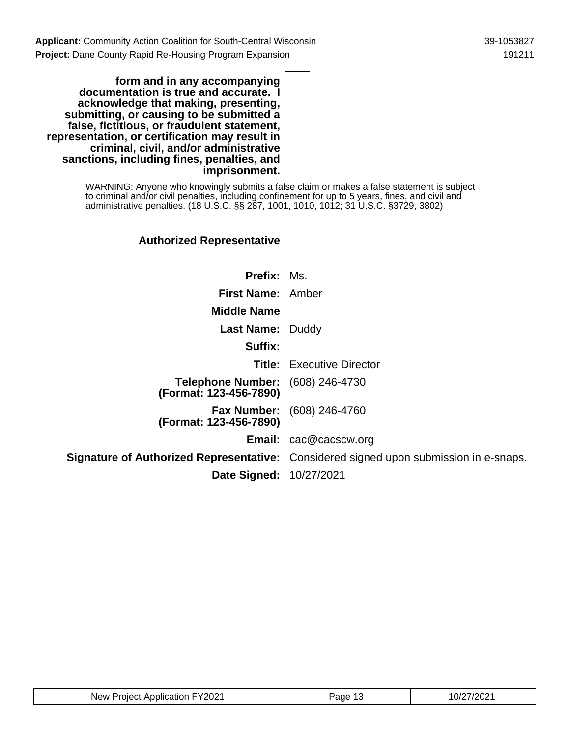**form and in any accompanying documentation is true and accurate. I acknowledge that making, presenting, submitting, or causing to be submitted a false, fictitious, or fraudulent statement, representation, or certification may result in criminal, civil, and/or administrative sanctions, including fines, penalties, and imprisonment.**

> WARNING: Anyone who knowingly submits a false claim or makes a false statement is subject to criminal and/or civil penalties, including confinement for up to 5 years, fines, and civil and administrative penalties. (18 U.S.C. §§ 287, 1001, 1010, 1012; 31 U.S.C. §3729, 3802)

### **Authorized Representative**

| <b>Prefix: Ms.</b>                                                |                                                                                              |
|-------------------------------------------------------------------|----------------------------------------------------------------------------------------------|
| First Name: Amber                                                 |                                                                                              |
| <b>Middle Name</b>                                                |                                                                                              |
| <b>Last Name: Duddy</b>                                           |                                                                                              |
| Suffix:                                                           |                                                                                              |
|                                                                   | <b>Title:</b> Executive Director                                                             |
| <b>Telephone Number:</b> (608) 246-4730<br>(Format: 123-456-7890) |                                                                                              |
| (Format: 123-456-7890)                                            | <b>Fax Number:</b> (608) 246-4760                                                            |
|                                                                   | <b>Email:</b> cac@cacscw.org                                                                 |
|                                                                   | <b>Signature of Authorized Representative:</b> Considered signed upon submission in e-snaps. |
| <b>Date Signed: 10/27/2021</b>                                    |                                                                                              |

| New Project Application FY2021 | .2age 1∂<br>- 15 | 10/27/2021 |
|--------------------------------|------------------|------------|
|--------------------------------|------------------|------------|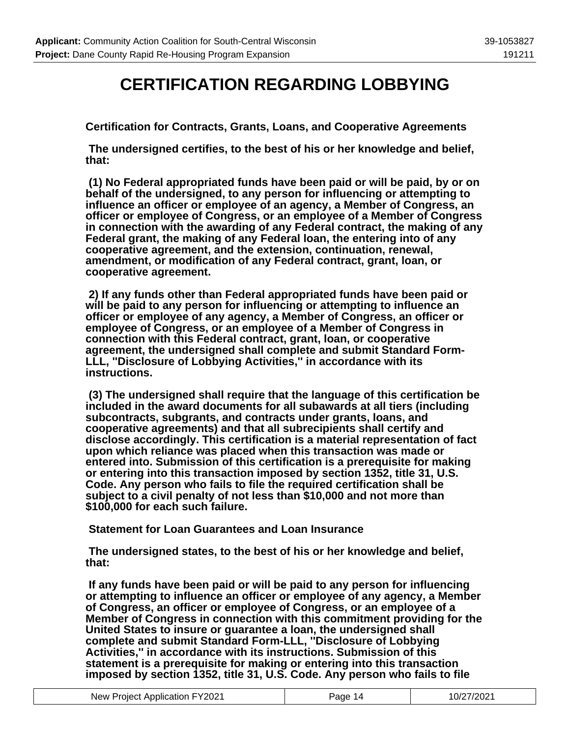### **CERTIFICATION REGARDING LOBBYING**

**Certification for Contracts, Grants, Loans, and Cooperative Agreements**

 **The undersigned certifies, to the best of his or her knowledge and belief, that:**

 **(1) No Federal appropriated funds have been paid or will be paid, by or on behalf of the undersigned, to any person for influencing or attempting to influence an officer or employee of an agency, a Member of Congress, an officer or employee of Congress, or an employee of a Member of Congress in connection with the awarding of any Federal contract, the making of any Federal grant, the making of any Federal loan, the entering into of any cooperative agreement, and the extension, continuation, renewal, amendment, or modification of any Federal contract, grant, loan, or cooperative agreement.**

 **2) If any funds other than Federal appropriated funds have been paid or will be paid to any person for influencing or attempting to influence an officer or employee of any agency, a Member of Congress, an officer or employee of Congress, or an employee of a Member of Congress in connection with this Federal contract, grant, loan, or cooperative agreement, the undersigned shall complete and submit Standard Form-LLL, ''Disclosure of Lobbying Activities,'' in accordance with its instructions.**

 **(3) The undersigned shall require that the language of this certification be included in the award documents for all subawards at all tiers (including subcontracts, subgrants, and contracts under grants, loans, and cooperative agreements) and that all subrecipients shall certify and disclose accordingly. This certification is a material representation of fact upon which reliance was placed when this transaction was made or entered into. Submission of this certification is a prerequisite for making or entering into this transaction imposed by section 1352, title 31, U.S. Code. Any person who fails to file the required certification shall be subject to a civil penalty of not less than \$10,000 and not more than \$100,000 for each such failure.**

 **Statement for Loan Guarantees and Loan Insurance**

 **The undersigned states, to the best of his or her knowledge and belief, that:**

 **If any funds have been paid or will be paid to any person for influencing or attempting to influence an officer or employee of any agency, a Member of Congress, an officer or employee of Congress, or an employee of a Member of Congress in connection with this commitment providing for the United States to insure or guarantee a loan, the undersigned shall complete and submit Standard Form-LLL, ''Disclosure of Lobbying Activities,'' in accordance with its instructions. Submission of this statement is a prerequisite for making or entering into this transaction imposed by section 1352, title 31, U.S. Code. Any person who fails to file**

| New Project Application FY2021 | Page 14 | 10/27/2021 |
|--------------------------------|---------|------------|
|--------------------------------|---------|------------|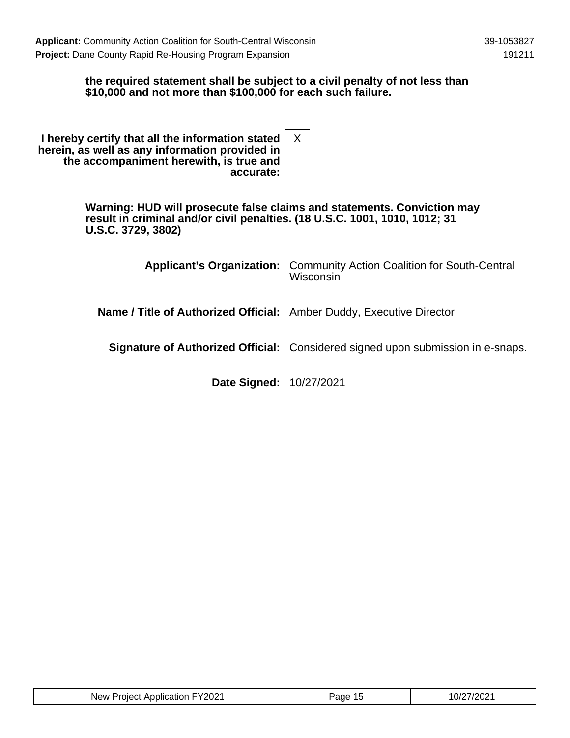#### **the required statement shall be subject to a civil penalty of not less than \$10,000 and not more than \$100,000 for each such failure.**

| I hereby certify that all the information stated<br>herein, as well as any information provided in |  |
|----------------------------------------------------------------------------------------------------|--|
| the accompaniment herewith, is true and                                                            |  |
| accurate:                                                                                          |  |

**Warning: HUD will prosecute false claims and statements. Conviction may result in criminal and/or civil penalties. (18 U.S.C. 1001, 1010, 1012; 31 U.S.C. 3729, 3802)**

|                                                                             | <b>Applicant's Organization:</b> Community Action Coalition for South-Central<br>Wisconsin |
|-----------------------------------------------------------------------------|--------------------------------------------------------------------------------------------|
| <b>Name / Title of Authorized Official:</b> Amber Duddy, Executive Director |                                                                                            |
|                                                                             | Signature of Authorized Official: Considered signed upon submission in e-snaps.            |
|                                                                             |                                                                                            |

**Date Signed:** 10/27/2021

| New Project Application FY2021 | Page 15 | 10/27/2021 |
|--------------------------------|---------|------------|
|--------------------------------|---------|------------|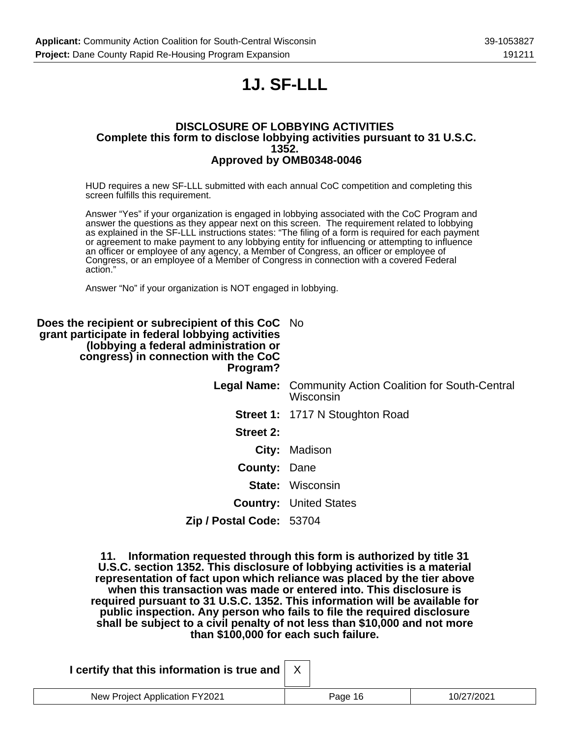# **1J. SF-LLL**

#### **DISCLOSURE OF LOBBYING ACTIVITIES Complete this form to disclose lobbying activities pursuant to 31 U.S.C. 1352. Approved by OMB0348-0046**

HUD requires a new SF-LLL submitted with each annual CoC competition and completing this screen fulfills this requirement.

Answer "Yes" if your organization is engaged in lobbying associated with the CoC Program and answer the questions as they appear next on this screen. The requirement related to lobbying as explained in the SF-LLL instructions states: "The filing of a form is required for each payment or agreement to make payment to any lobbying entity for influencing or attempting to influence an officer or employee of any agency, a Member of Congress, an officer or employee of Congress, or an employee of a Member of Congress in connection with a covered Federal action."

Answer "No" if your organization is NOT engaged in lobbying.

| Does the recipient or subrecipient of this CoC No<br>grant participate in federal lobbying activities<br>(lobbying a federal administration or<br>congress) in connection with the CoC<br>Program? |                                                                       |
|----------------------------------------------------------------------------------------------------------------------------------------------------------------------------------------------------|-----------------------------------------------------------------------|
|                                                                                                                                                                                                    | Legal Name: Community Action Coalition for South-Central<br>Wisconsin |
|                                                                                                                                                                                                    | <b>Street 1: 1717 N Stoughton Road</b>                                |
| Street 2:                                                                                                                                                                                          |                                                                       |
|                                                                                                                                                                                                    | City: Madison                                                         |
| <b>County: Dane</b>                                                                                                                                                                                |                                                                       |
|                                                                                                                                                                                                    | <b>State: Wisconsin</b>                                               |
|                                                                                                                                                                                                    | <b>Country: United States</b>                                         |
| Zip / Postal Code: 53704                                                                                                                                                                           |                                                                       |
|                                                                                                                                                                                                    |                                                                       |

**11. Information requested through this form is authorized by title 31 U.S.C. section 1352. This disclosure of lobbying activities is a material representation of fact upon which reliance was placed by the tier above when this transaction was made or entered into. This disclosure is required pursuant to 31 U.S.C. 1352. This information will be available for public inspection. Any person who fails to file the required disclosure shall be subject to a civil penalty of not less than \$10,000 and not more than \$100,000 for each such failure.**

| I certify that this information is true and |         |            |
|---------------------------------------------|---------|------------|
| New Project Application FY2021              | Page 16 | 10/27/2021 |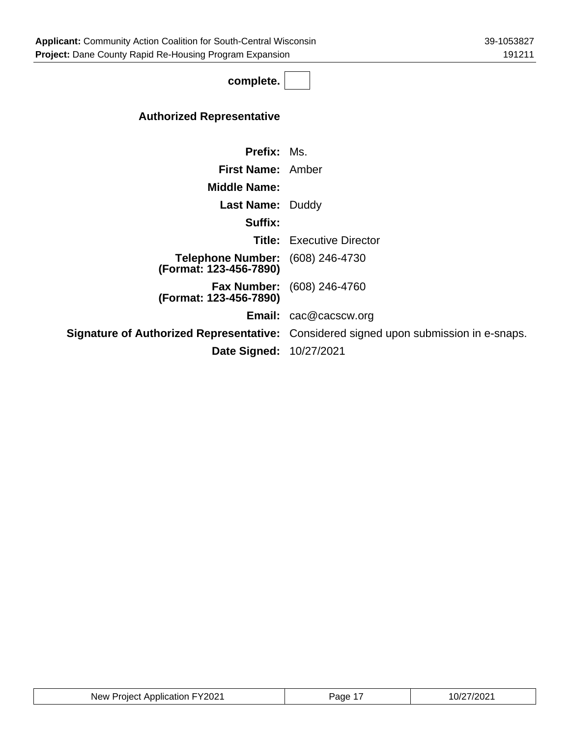**complete.**

### **Authorized Representative**

| <b>Prefix: Ms.</b>                                         |                                                                                              |
|------------------------------------------------------------|----------------------------------------------------------------------------------------------|
| <b>First Name:</b> Amber                                   |                                                                                              |
| <b>Middle Name:</b>                                        |                                                                                              |
| <b>Last Name: Duddy</b>                                    |                                                                                              |
| Suffix:                                                    |                                                                                              |
|                                                            | <b>Title:</b> Executive Director                                                             |
| Telephone Number: (608) 246-4730<br>(Format: 123-456-7890) |                                                                                              |
| (Format: 123-456-7890)                                     | <b>Fax Number:</b> (608) 246-4760                                                            |
|                                                            | <b>Email:</b> cac@cacscw.org                                                                 |
|                                                            | <b>Signature of Authorized Representative:</b> Considered signed upon submission in e-snaps. |
| <b>Date Signed: 10/27/2021</b>                             |                                                                                              |
|                                                            |                                                                                              |

| New Project Application FY2021 | Page 1 | 10/27/2021 |
|--------------------------------|--------|------------|
|--------------------------------|--------|------------|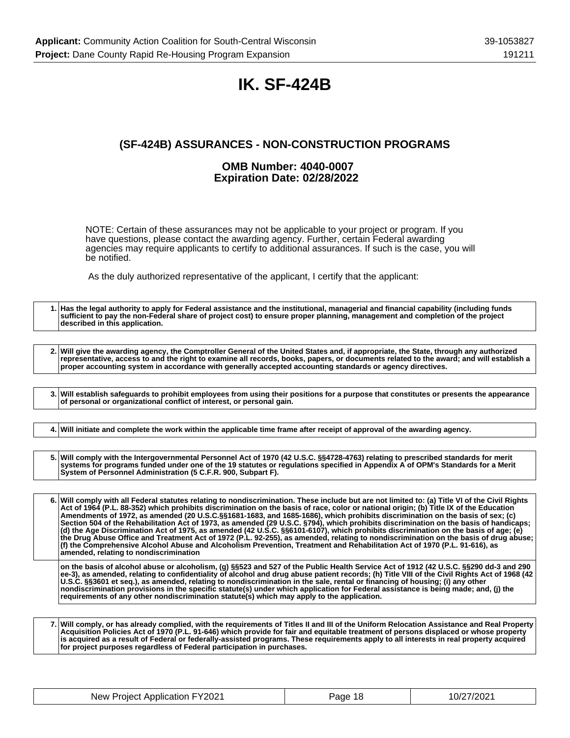### **IK. SF-424B**

### **(SF-424B) ASSURANCES - NON-CONSTRUCTION PROGRAMS**

#### **OMB Number: 4040-0007 Expiration Date: 02/28/2022**

NOTE: Certain of these assurances may not be applicable to your project or program. If you have questions, please contact the awarding agency. Further, certain Federal awarding agencies may require applicants to certify to additional assurances. If such is the case, you will be notified.

As the duly authorized representative of the applicant, I certify that the applicant:

**1. Has the legal authority to apply for Federal assistance and the institutional, managerial and financial capability (including funds sufficient to pay the non-Federal share of project cost) to ensure proper planning, management and completion of the project described in this application.**

**2. Will give the awarding agency, the Comptroller General of the United States and, if appropriate, the State, through any authorized representative, access to and the right to examine all records, books, papers, or documents related to the award; and will establish a proper accounting system in accordance with generally accepted accounting standards or agency directives.**

**3. Will establish safeguards to prohibit employees from using their positions for a purpose that constitutes or presents the appearance of personal or organizational conflict of interest, or personal gain.**

**4. Will initiate and complete the work within the applicable time frame after receipt of approval of the awarding agency.**

**5. Will comply with the Intergovernmental Personnel Act of 1970 (42 U.S.C. §§4728-4763) relating to prescribed standards for merit systems for programs funded under one of the 19 statutes or regulations specified in Appendix A of OPM's Standards for a Merit System of Personnel Administration (5 C.F.R. 900, Subpart F).**

**6. Will comply with all Federal statutes relating to nondiscrimination. These include but are not limited to: (a) Title VI of the Civil Rights Act of 1964 (P.L. 88-352) which prohibits discrimination on the basis of race, color or national origin; (b) Title IX of the Education Amendments of 1972, as amended (20 U.S.C.§§1681-1683, and 1685-1686), which prohibits discrimination on the basis of sex; (c) Section 504 of the Rehabilitation Act of 1973, as amended (29 U.S.C. §794), which prohibits discrimination on the basis of handicaps; (d) the Age Discrimination Act of 1975, as amended (42 U.S.C. §§6101-6107), which prohibits discrimination on the basis of age; (e) the Drug Abuse Office and Treatment Act of 1972 (P.L. 92-255), as amended, relating to nondiscrimination on the basis of drug abuse; (f) the Comprehensive Alcohol Abuse and Alcoholism Prevention, Treatment and Rehabilitation Act of 1970 (P.L. 91-616), as amended, relating to nondiscrimination**

**on the basis of alcohol abuse or alcoholism, (g) §§523 and 527 of the Public Health Service Act of 1912 (42 U.S.C. §§290 dd-3 and 290 ee-3), as amended, relating to confidentiality of alcohol and drug abuse patient records; (h) Title VIII of the Civil Rights Act of 1968 (42 U.S.C. §§3601 et seq.), as amended, relating to nondiscrimination in the sale, rental or financing of housing; (i) any other nondiscrimination provisions in the specific statute(s) under which application for Federal assistance is being made; and, (j) the requirements of any other nondiscrimination statute(s) which may apply to the application.**

**7. Will comply, or has already complied, with the requirements of Titles II and III of the Uniform Relocation Assistance and Real Property Acquisition Policies Act of 1970 (P.L. 91-646) which provide for fair and equitable treatment of persons displaced or whose property is acquired as a result of Federal or federally-assisted programs. These requirements apply to all interests in real property acquired for project purposes regardless of Federal participation in purchases.**

| New Project Application FY2021 | Page 18 | 10/27/2021 |
|--------------------------------|---------|------------|
|--------------------------------|---------|------------|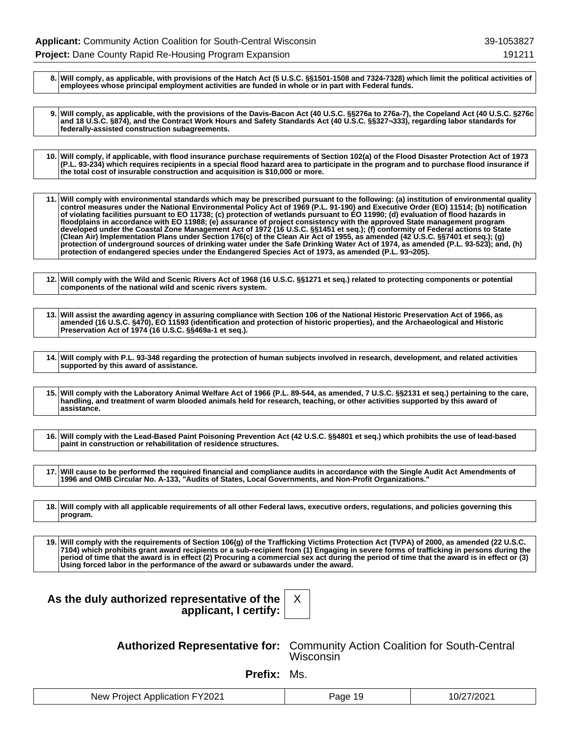**8. Will comply, as applicable, with provisions of the Hatch Act (5 U.S.C. §§1501-1508 and 7324-7328) which limit the political activities of employees whose principal employment activities are funded in whole or in part with Federal funds.**

**9. Will comply, as applicable, with the provisions of the Davis-Bacon Act (40 U.S.C. §§276a to 276a-7), the Copeland Act (40 U.S.C. §276c and 18 U.S.C. §874), and the Contract Work Hours and Safety Standards Act (40 U.S.C. §§327¬333), regarding labor standards for federally-assisted construction subagreements.**

**10. Will comply, if applicable, with flood insurance purchase requirements of Section 102(a) of the Flood Disaster Protection Act of 1973 (P.L. 93-234) which requires recipients in a special flood hazard area to participate in the program and to purchase flood insurance if the total cost of insurable construction and acquisition is \$10,000 or more.**

**11. Will comply with environmental standards which may be prescribed pursuant to the following: (a) institution of environmental quality control measures under the National Environmental Policy Act of 1969 (P.L. 91-190) and Executive Order (EO) 11514; (b) notification of violating facilities pursuant to EO 11738; (c) protection of wetlands pursuant to EO 11990; (d) evaluation of flood hazards in floodplains in accordance with EO 11988; (e) assurance of project consistency with the approved State management program developed under the Coastal Zone Management Act of 1972 (16 U.S.C. §§1451 et seq.); (f) conformity of Federal actions to State (Clean Air) Implementation Plans under Section 176(c) of the Clean Air Act of 1955, as amended (42 U.S.C. §§7401 et seq.); (g) protection of underground sources of drinking water under the Safe Drinking Water Act of 1974, as amended (P.L. 93-523); and, (h) protection of endangered species under the Endangered Species Act of 1973, as amended (P.L. 93¬205).**

**12. Will comply with the Wild and Scenic Rivers Act of 1968 (16 U.S.C. §§1271 et seq.) related to protecting components or potential components of the national wild and scenic rivers system.**

**13. Will assist the awarding agency in assuring compliance with Section 106 of the National Historic Preservation Act of 1966, as amended (16 U.S.C. §470), EO 11593 (identification and protection of historic properties), and the Archaeological and Historic Preservation Act of 1974 (16 U.S.C. §§469a-1 et seq.).**

**14. Will comply with P.L. 93-348 regarding the protection of human subjects involved in research, development, and related activities supported by this award of assistance.**

**15. Will comply with the Laboratory Animal Welfare Act of 1966 (P.L. 89-544, as amended, 7 U.S.C. §§2131 et seq.) pertaining to the care, handling, and treatment of warm blooded animals held for research, teaching, or other activities supported by this award of assistance.**

**16. Will comply with the Lead-Based Paint Poisoning Prevention Act (42 U.S.C. §§4801 et seq.) which prohibits the use of lead-based paint in construction or rehabilitation of residence structures.**

**17. Will cause to be performed the required financial and compliance audits in accordance with the Single Audit Act Amendments of 1996 and OMB Circular No. A-133, "Audits of States, Local Governments, and Non-Profit Organizations."**

**18. Will comply with all applicable requirements of all other Federal laws, executive orders, regulations, and policies governing this program.**

**19. Will comply with the requirements of Section 106(g) of the Trafficking Victims Protection Act (TVPA) of 2000, as amended (22 U.S.C. 7104) which prohibits grant award recipients or a sub-recipient from (1) Engaging in severe forms of trafficking in persons during the period of time that the award is in effect (2) Procuring a commercial sex act during the period of time that the award is in effect or (3) Using forced labor in the performance of the award or subawards under the award.**

X

| As the duly authorized representative of the |  |
|----------------------------------------------|--|
| applicant, I certify:                        |  |

**Authorized Representative for:** Community Action Coalition for South-Central Wisconsin<sup>1</sup>

**Prefix:** Ms.

| FY2021<br>New<br>t Application<br>Project | Page<br>- 1 6 | .7/2021<br>ے الا ا |
|-------------------------------------------|---------------|--------------------|
|-------------------------------------------|---------------|--------------------|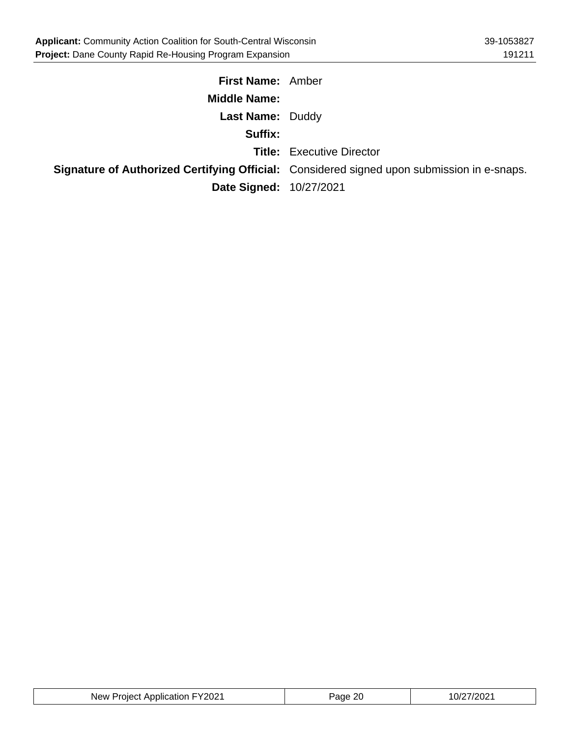| <b>First Name: Amber</b> |                                                                                                   |
|--------------------------|---------------------------------------------------------------------------------------------------|
| <b>Middle Name:</b>      |                                                                                                   |
| <b>Last Name: Duddy</b>  |                                                                                                   |
| Suffix:                  |                                                                                                   |
|                          | <b>Title:</b> Executive Director                                                                  |
|                          | <b>Signature of Authorized Certifying Official:</b> Considered signed upon submission in e-snaps. |
| Date Signed: 10/27/2021  |                                                                                                   |

| New Project Application FY2021 | -20<br>Page | 10/27/2021 |
|--------------------------------|-------------|------------|
|--------------------------------|-------------|------------|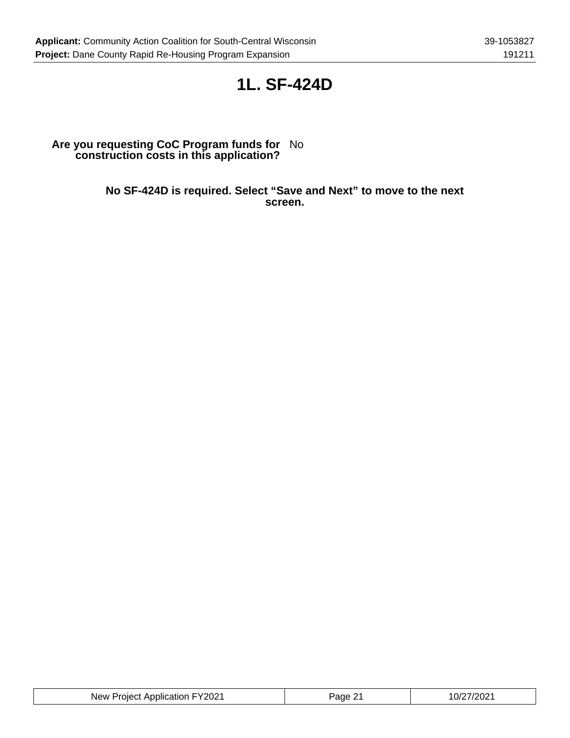### **1L. SF-424D**

#### **Are you requesting CoC Program funds for construction costs in this application?** No

**No SF-424D is required. Select "Save and Next" to move to the next screen.**

| New Project Application FY2021 | Page<br>. .<br><u>_</u> | 10/27/2021 |
|--------------------------------|-------------------------|------------|
|--------------------------------|-------------------------|------------|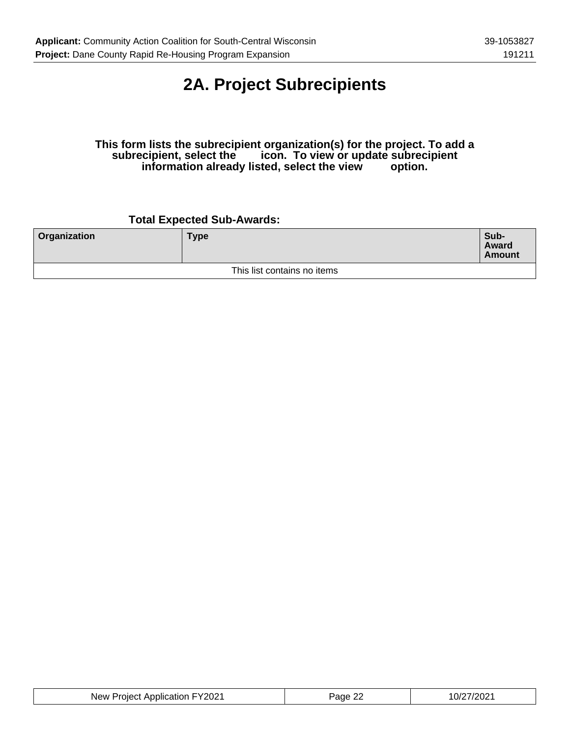# **2A. Project Subrecipients**

#### **This form lists the subrecipient organization(s) for the project. To add a subrecipient, select the icon. To view or update subrecipient information already listed, select the view option.**

### **Total Expected Sub-Awards:**

| <b>Organization</b>         | <b>Type</b> | Sub-<br>Award<br><b>Amount</b> |
|-----------------------------|-------------|--------------------------------|
| This list contains no items |             |                                |

| New Project Application FY2021 | <sup>⊃</sup> aɑe 2'∠ | 10/27/2021 |
|--------------------------------|----------------------|------------|
|--------------------------------|----------------------|------------|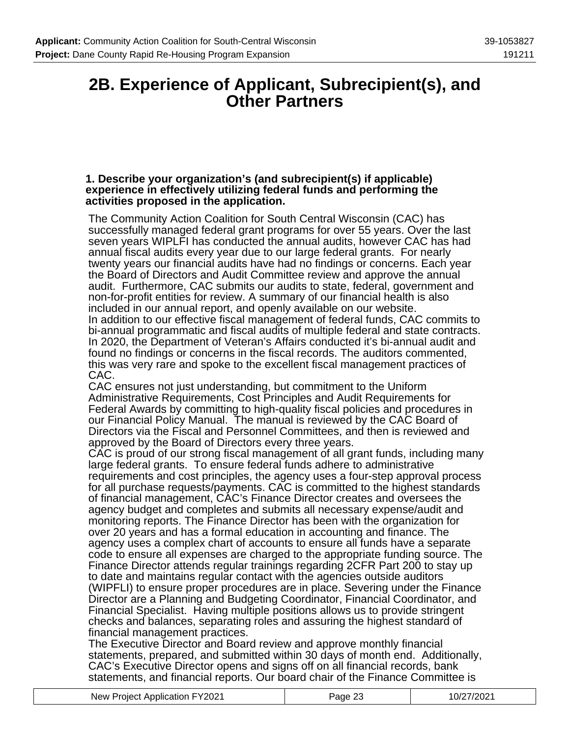### **2B. Experience of Applicant, Subrecipient(s), and Other Partners**

#### **1. Describe your organization's (and subrecipient(s) if applicable) experience in effectively utilizing federal funds and performing the activities proposed in the application.**

The Community Action Coalition for South Central Wisconsin (CAC) has successfully managed federal grant programs for over 55 years. Over the last seven years WIPLFI has conducted the annual audits, however CAC has had annual fiscal audits every year due to our large federal grants. For nearly twenty years our financial audits have had no findings or concerns. Each year the Board of Directors and Audit Committee review and approve the annual audit. Furthermore, CAC submits our audits to state, federal, government and non-for-profit entities for review. A summary of our financial health is also included in our annual report, and openly available on our website. In addition to our effective fiscal management of federal funds, CAC commits to bi-annual programmatic and fiscal audits of multiple federal and state contracts. In 2020, the Department of Veteran's Affairs conducted it's bi-annual audit and found no findings or concerns in the fiscal records. The auditors commented, this was very rare and spoke to the excellent fiscal management practices of CAC.

CAC ensures not just understanding, but commitment to the Uniform Administrative Requirements, Cost Principles and Audit Requirements for Federal Awards by committing to high-quality fiscal policies and procedures in our Financial Policy Manual. The manual is reviewed by the CAC Board of Directors via the Fiscal and Personnel Committees, and then is reviewed and approved by the Board of Directors every three years.

CAC is proud of our strong fiscal management of all grant funds, including many large federal grants. To ensure federal funds adhere to administrative requirements and cost principles, the agency uses a four-step approval process for all purchase requests/payments. CAC is committed to the highest standards of financial management, CAC's Finance Director creates and oversees the agency budget and completes and submits all necessary expense/audit and monitoring reports. The Finance Director has been with the organization for over 20 years and has a formal education in accounting and finance. The agency uses a complex chart of accounts to ensure all funds have a separate code to ensure all expenses are charged to the appropriate funding source. The Finance Director attends regular trainings regarding 2CFR Part 200 to stay up to date and maintains regular contact with the agencies outside auditors (WIPFLI) to ensure proper procedures are in place. Severing under the Finance Director are a Planning and Budgeting Coordinator, Financial Coordinator, and Financial Specialist. Having multiple positions allows us to provide stringent checks and balances, separating roles and assuring the highest standard of financial management practices.

The Executive Director and Board review and approve monthly financial statements, prepared, and submitted within 30 days of month end. Additionally, CAC's Executive Director opens and signs off on all financial records, bank statements, and financial reports. Our board chair of the Finance Committee is

| New Project Application FY2021 | Page 23 | 10/27/2021 |
|--------------------------------|---------|------------|
|                                |         |            |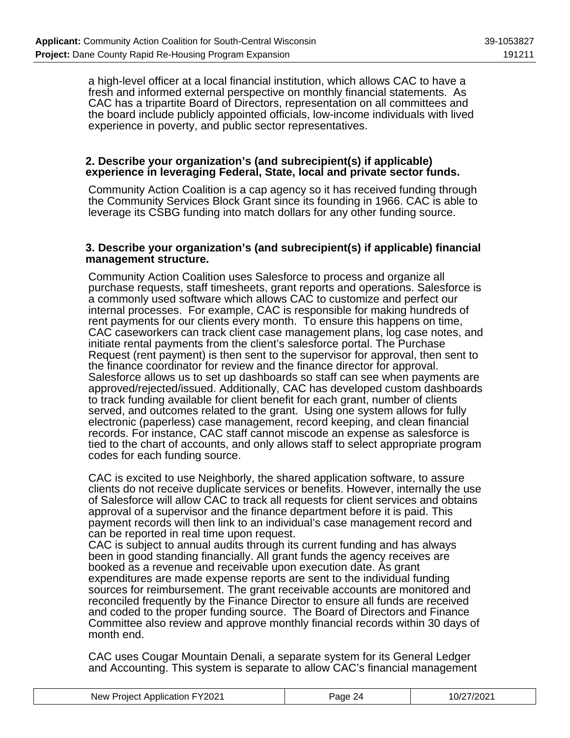a high-level officer at a local financial institution, which allows CAC to have a fresh and informed external perspective on monthly financial statements. As CAC has a tripartite Board of Directors, representation on all committees and the board include publicly appointed officials, low-income individuals with lived experience in poverty, and public sector representatives.

#### **2. Describe your organization's (and subrecipient(s) if applicable) experience in leveraging Federal, State, local and private sector funds.**

Community Action Coalition is a cap agency so it has received funding through the Community Services Block Grant since its founding in 1966. CAC is able to leverage its CSBG funding into match dollars for any other funding source.

#### **3. Describe your organization's (and subrecipient(s) if applicable) financial management structure.**

Community Action Coalition uses Salesforce to process and organize all purchase requests, staff timesheets, grant reports and operations. Salesforce is a commonly used software which allows CAC to customize and perfect our internal processes. For example, CAC is responsible for making hundreds of rent payments for our clients every month. To ensure this happens on time, CAC caseworkers can track client case management plans, log case notes, and initiate rental payments from the client's salesforce portal. The Purchase Request (rent payment) is then sent to the supervisor for approval, then sent to the finance coordinator for review and the finance director for approval. Salesforce allows us to set up dashboards so staff can see when payments are approved/rejected/issued. Additionally, CAC has developed custom dashboards to track funding available for client benefit for each grant, number of clients served, and outcomes related to the grant. Using one system allows for fully electronic (paperless) case management, record keeping, and clean financial records. For instance, CAC staff cannot miscode an expense as salesforce is tied to the chart of accounts, and only allows staff to select appropriate program codes for each funding source.

CAC is excited to use Neighborly, the shared application software, to assure clients do not receive duplicate services or benefits. However, internally the use of Salesforce will allow CAC to track all requests for client services and obtains approval of a supervisor and the finance department before it is paid. This payment records will then link to an individual's case management record and can be reported in real time upon request.

CAC is subject to annual audits through its current funding and has always been in good standing financially. All grant funds the agency receives are booked as a revenue and receivable upon execution date. As grant expenditures are made expense reports are sent to the individual funding sources for reimbursement. The grant receivable accounts are monitored and reconciled frequently by the Finance Director to ensure all funds are received and coded to the proper funding source. The Board of Directors and Finance Committee also review and approve monthly financial records within 30 days of month end.

CAC uses Cougar Mountain Denali, a separate system for its General Ledger and Accounting. This system is separate to allow CAC's financial management

| New Project Application FY2021 | Page 24 | 10/27/2021 |
|--------------------------------|---------|------------|
|                                |         |            |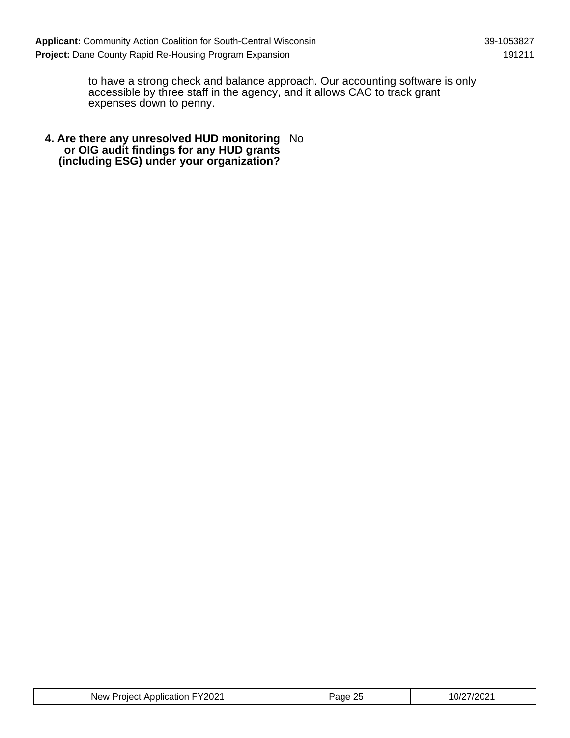to have a strong check and balance approach. Our accounting software is only accessible by three staff in the agency, and it allows CAC to track grant expenses down to penny.

**4. Are there any unresolved HUD monitoring or OIG audit findings for any HUD grants (including ESG) under your organization?** No

| New Project Application FY2021 | <sup>2</sup> age 25 | 10/27/2021 |
|--------------------------------|---------------------|------------|
|--------------------------------|---------------------|------------|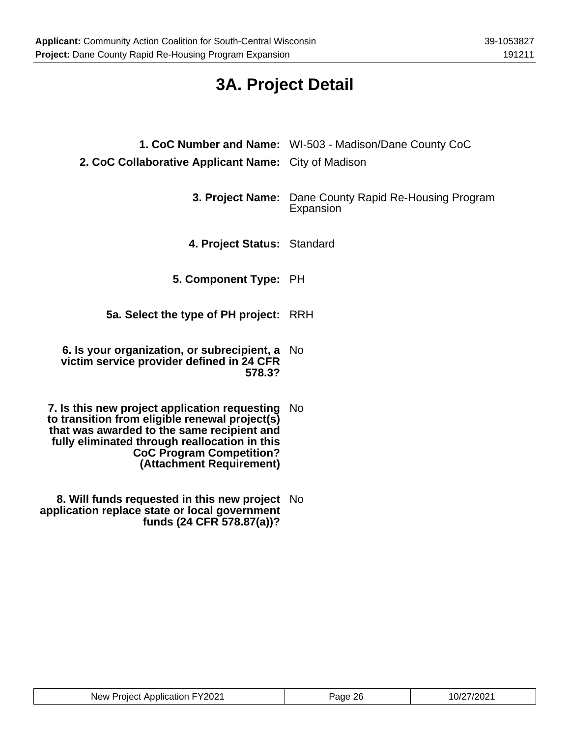# **3A. Project Detail**

| 2. CoC Collaborative Applicant Name: City of Madison                                                                                                                                                                                                          | 1. CoC Number and Name: WI-503 - Madison/Dane County CoC                  |
|---------------------------------------------------------------------------------------------------------------------------------------------------------------------------------------------------------------------------------------------------------------|---------------------------------------------------------------------------|
|                                                                                                                                                                                                                                                               | <b>3. Project Name:</b> Dane County Rapid Re-Housing Program<br>Expansion |
| 4. Project Status: Standard                                                                                                                                                                                                                                   |                                                                           |
| 5. Component Type: PH                                                                                                                                                                                                                                         |                                                                           |
| 5a. Select the type of PH project:                                                                                                                                                                                                                            | RRH                                                                       |
| 6. Is your organization, or subrecipient, a<br>victim service provider defined in 24 CFR<br>578.3?                                                                                                                                                            | - No                                                                      |
| 7. Is this new project application requesting<br>to transition from eligible renewal project(s)<br>that was awarded to the same recipient and<br>fully eliminated through reallocation in this<br><b>CoC Program Competition?</b><br>(Attachment Requirement) | - No                                                                      |
| 8. Will funds requested in this new project<br>application replace state or local government<br>funds (24 CFR 578.87(a))?                                                                                                                                     | - No                                                                      |

| New Project Application FY2021 | Page 26 | 10/27/2021 |
|--------------------------------|---------|------------|
|--------------------------------|---------|------------|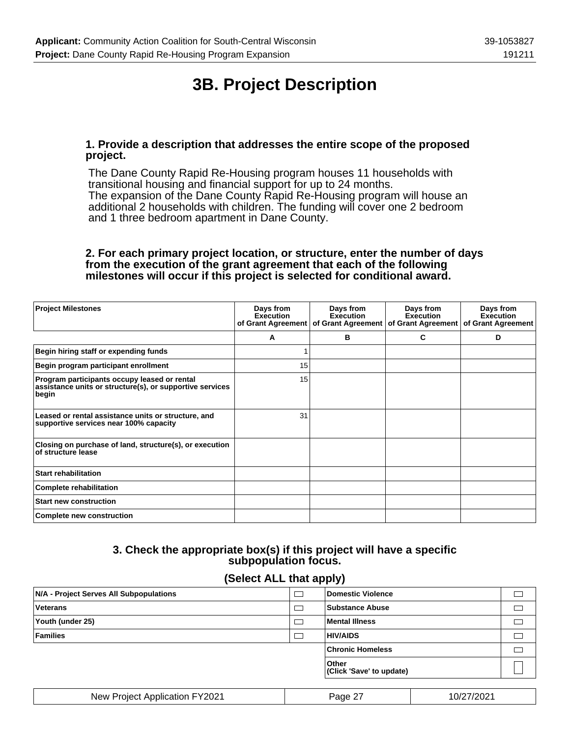# **3B. Project Description**

#### **1. Provide a description that addresses the entire scope of the proposed project.**

The Dane County Rapid Re-Housing program houses 11 households with transitional housing and financial support for up to 24 months. The expansion of the Dane County Rapid Re-Housing program will house an additional 2 households with children. The funding will cover one 2 bedroom and 1 three bedroom apartment in Dane County.

#### **2. For each primary project location, or structure, enter the number of days from the execution of the grant agreement that each of the following milestones will occur if this project is selected for conditional award.**

| <b>Project Milestones</b>                                                                                         | Days from<br>Execution<br>of Grant Agreement | Days from<br><b>Execution</b><br>of Grant Agreement | Days from<br><b>Execution</b><br>of Grant Agreement | Days from<br>Execution<br>of Grant Agreement |
|-------------------------------------------------------------------------------------------------------------------|----------------------------------------------|-----------------------------------------------------|-----------------------------------------------------|----------------------------------------------|
|                                                                                                                   | A                                            | в                                                   | C                                                   | D                                            |
| Begin hiring staff or expending funds                                                                             | ٠                                            |                                                     |                                                     |                                              |
| Begin program participant enrollment                                                                              | 15                                           |                                                     |                                                     |                                              |
| Program participants occupy leased or rental<br>assistance units or structure(s), or supportive services<br>begin | 15                                           |                                                     |                                                     |                                              |
| Leased or rental assistance units or structure, and<br>supportive services near 100% capacity                     | 31                                           |                                                     |                                                     |                                              |
| Closing on purchase of land, structure(s), or execution<br>of structure lease                                     |                                              |                                                     |                                                     |                                              |
| <b>Start rehabilitation</b>                                                                                       |                                              |                                                     |                                                     |                                              |
| <b>Complete rehabilitation</b>                                                                                    |                                              |                                                     |                                                     |                                              |
| <b>Start new construction</b>                                                                                     |                                              |                                                     |                                                     |                                              |
| <b>Complete new construction</b>                                                                                  |                                              |                                                     |                                                     |                                              |

### **3. Check the appropriate box(s) if this project will have a specific subpopulation focus.**

#### **(Select ALL that apply)**

| N/A - Project Serves All Subpopulations |        | <b>Domestic Violence</b>           |            |  |
|-----------------------------------------|--------|------------------------------------|------------|--|
| <b>Veterans</b>                         | $\Box$ | <b>Substance Abuse</b>             |            |  |
| Youth (under 25)                        |        | Mental Illness                     |            |  |
| <b>Families</b>                         | ┌─     | <b>HIV/AIDS</b>                    |            |  |
|                                         |        | <b>Chronic Homeless</b>            |            |  |
|                                         |        | ∣Other<br>(Click 'Save' to update) |            |  |
|                                         |        |                                    |            |  |
| New Project Application FY2021          |        | Page 27                            | 10/27/2021 |  |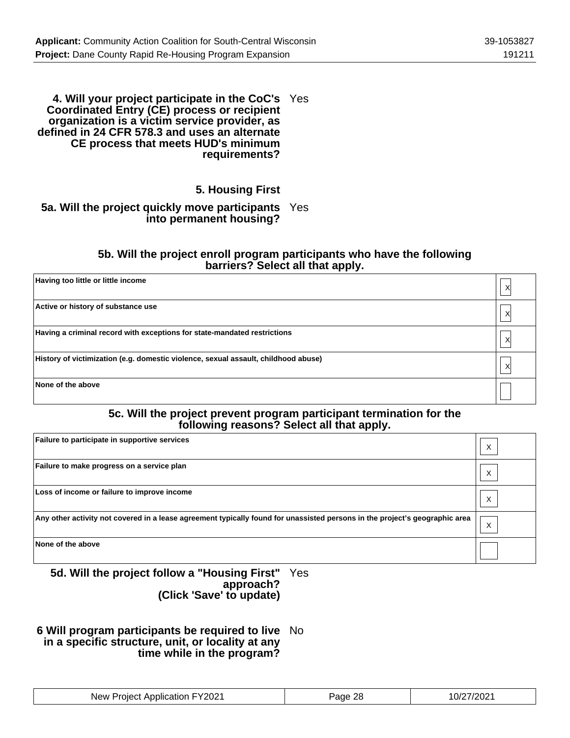#### **4. Will your project participate in the CoC's** Yes **Coordinated Entry (CE) process or recipient organization is a victim service provider, as defined in 24 CFR 578.3 and uses an alternate CE process that meets HUD's minimum requirements?**

### **5. Housing First**

#### **5a. Will the project quickly move participants** Yes **into permanent housing?**

#### **5b. Will the project enroll program participants who have the following barriers? Select all that apply.**

| Having too little or little income                                                 | Χ |
|------------------------------------------------------------------------------------|---|
| Active or history of substance use                                                 | Χ |
| Having a criminal record with exceptions for state-mandated restrictions           | X |
| History of victimization (e.g. domestic violence, sexual assault, childhood abuse) | X |
| None of the above                                                                  |   |

#### **5c. Will the project prevent program participant termination for the following reasons? Select all that apply.**

| Failure to participate in supportive services                                                                               | ⋏ |
|-----------------------------------------------------------------------------------------------------------------------------|---|
| Failure to make progress on a service plan                                                                                  |   |
| Loss of income or failure to improve income                                                                                 | Χ |
| Any other activity not covered in a lease agreement typically found for unassisted persons in the project's geographic area | X |
| None of the above                                                                                                           |   |

#### **5d. Will the project follow a "Housing First" approach? (Click 'Save' to update)** Yes

#### **6 Will program participants be required to live** No **in a specific structure, unit, or locality at any time while in the program?**

| New Project Application FY2021 | Page 28 | 10/27/2021 |
|--------------------------------|---------|------------|
|--------------------------------|---------|------------|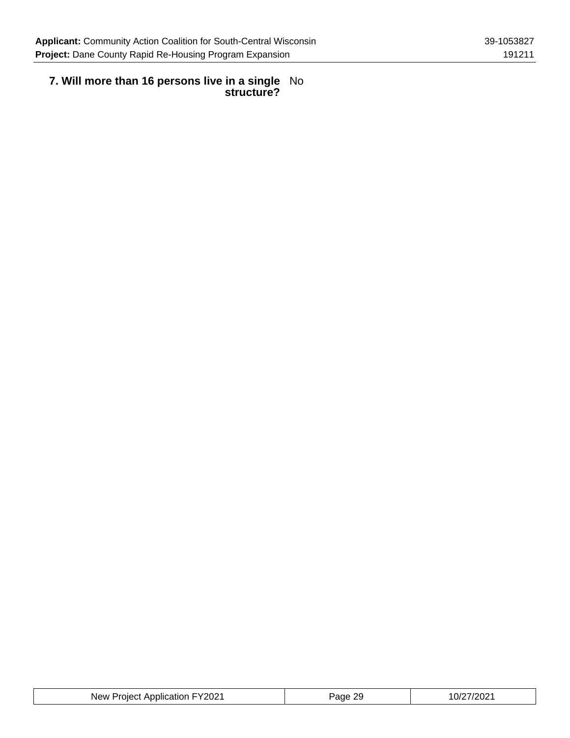#### **7. Will more than 16 persons live in a single structure?** No

| New Project Application FY2021 | Page 29 | 10/27/2021 |
|--------------------------------|---------|------------|
|--------------------------------|---------|------------|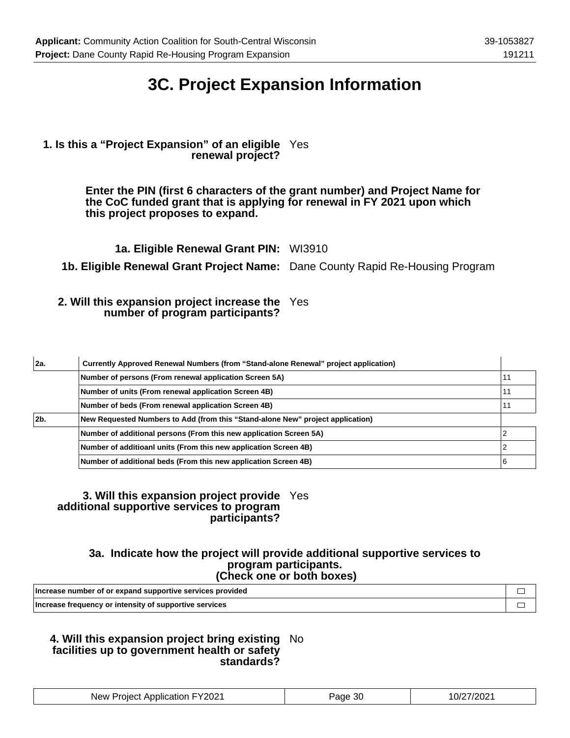### **3C. Project Expansion Information**

#### **1. Is this a "Project Expansion" of an eligible** Yes **renewal project?**

**Enter the PIN (first 6 characters of the grant number) and Project Name for the CoC funded grant that is applying for renewal in FY 2021 upon which this project proposes to expand.**

**1a. Eligible Renewal Grant PIN:** WI3910

**1b. Eligible Renewal Grant Project Name:** Dane County Rapid Re-Housing Program

#### **2. Will this expansion project increase the** Yes **number of program participants?**

| 2a. | Currently Approved Renewal Numbers (from "Stand-alone Renewal" project application) |    |
|-----|-------------------------------------------------------------------------------------|----|
|     | Number of persons (From renewal application Screen 5A)                              | 11 |
|     | Number of units (From renewal application Screen 4B)                                | 11 |
|     | Number of beds (From renewal application Screen 4B)                                 | 11 |
| 2b. | New Requested Numbers to Add (from this "Stand-alone New" project application)      |    |
|     | Number of additional persons (From this new application Screen 5A)                  |    |
|     | Number of additioanl units (From this new application Screen 4B)                    |    |
|     | Number of additional beds (From this new application Screen 4B)                     | 6  |

#### **3. Will this expansion project provide** Yes **additional supportive services to program participants?**

#### **3a. Indicate how the project will provide additional supportive services to program participants. (Check one or both boxes)**

| Increase number of or expand supportive services provided |  |
|-----------------------------------------------------------|--|
| Increase frequency or intensity of supportive services    |  |

#### **4. Will this expansion project bring existing** No **facilities up to government health or safety standards?**

| New Project Application FY2021 | Page 30 | 10/27/2021 |
|--------------------------------|---------|------------|
|--------------------------------|---------|------------|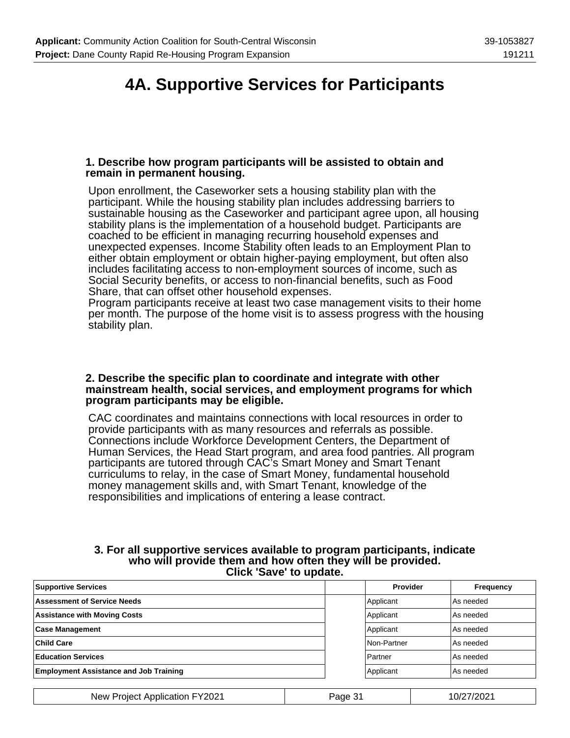### **4A. Supportive Services for Participants**

#### **1. Describe how program participants will be assisted to obtain and remain in permanent housing.**

Upon enrollment, the Caseworker sets a housing stability plan with the participant. While the housing stability plan includes addressing barriers to sustainable housing as the Caseworker and participant agree upon, all housing stability plans is the implementation of a household budget. Participants are coached to be efficient in managing recurring household expenses and unexpected expenses. Income Stability often leads to an Employment Plan to either obtain employment or obtain higher-paying employment, but often also includes facilitating access to non-employment sources of income, such as Social Security benefits, or access to non-financial benefits, such as Food Share, that can offset other household expenses.

Program participants receive at least two case management visits to their home per month. The purpose of the home visit is to assess progress with the housing stability plan.

#### **2. Describe the specific plan to coordinate and integrate with other mainstream health, social services, and employment programs for which program participants may be eligible.**

CAC coordinates and maintains connections with local resources in order to provide participants with as many resources and referrals as possible. Connections include Workforce Development Centers, the Department of Human Services, the Head Start program, and area food pantries. All program participants are tutored through CAC's Smart Money and Smart Tenant curriculums to relay, in the case of Smart Money, fundamental household money management skills and, with Smart Tenant, knowledge of the responsibilities and implications of entering a lease contract.

#### **3. For all supportive services available to program participants, indicate who will provide them and how often they will be provided. Click 'Save' to update.**

| <b>Supportive Services</b>                    | Provider    | Frequency |
|-----------------------------------------------|-------------|-----------|
| <b>Assessment of Service Needs</b>            | Applicant   | As needed |
| <b>Assistance with Moving Costs</b>           | Applicant   | As needed |
| <b>Case Management</b>                        | Applicant   | As needed |
| <b>Child Care</b>                             | Non-Partner | As needed |
| <b>Education Services</b>                     | Partner     | As needed |
| <b>Employment Assistance and Job Training</b> | Applicant   | As needed |
|                                               |             |           |

New Project Application FY2021 | Page 31 | 10/27/2021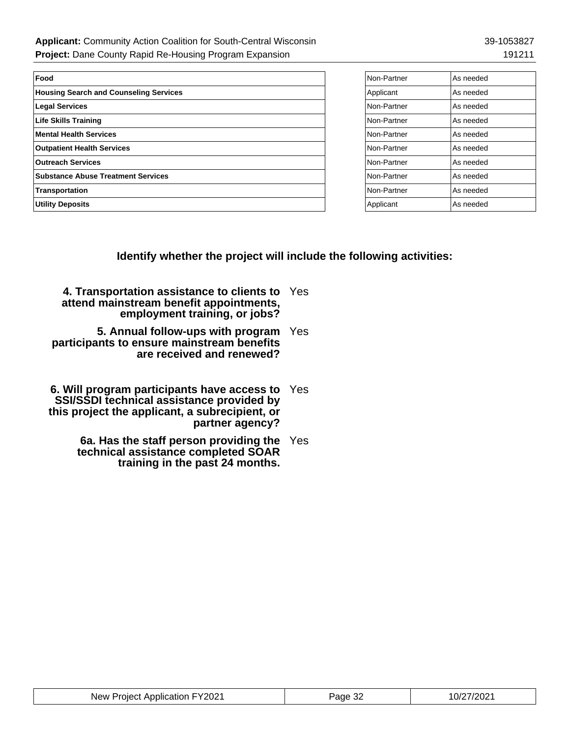| Food                                          | Non-Partner | As needed |
|-----------------------------------------------|-------------|-----------|
| <b>Housing Search and Counseling Services</b> | Applicant   | As needed |
| <b>Legal Services</b>                         | Non-Partner | As needed |
| <b>Life Skills Training</b>                   | Non-Partner | As needed |
| <b>Mental Health Services</b>                 | Non-Partner | As needed |
| <b>Outpatient Health Services</b>             | Non-Partner | As needed |
| <b>Outreach Services</b>                      | Non-Partner | As needed |
| <b>Substance Abuse Treatment Services</b>     | Non-Partner | As needed |
| Transportation                                | Non-Partner | As needed |
| <b>Utility Deposits</b>                       | Applicant   | As needed |

| Non-Partner | As needed |
|-------------|-----------|
| Applicant   | As needed |
| Non-Partner | As needed |
| Non-Partner | As needed |
| Non-Partner | As needed |
| Non-Partner | As needed |
| Non-Partner | As needed |
| Non-Partner | As needed |
| Non-Partner | As needed |
| Applicant   | As needed |

**Identify whether the project will include the following activities:**

| 4. Transportation assistance to clients to Yes |  |
|------------------------------------------------|--|
| attend mainstream benefit appointments,        |  |
| employment training, or jobs?                  |  |

**5. Annual follow-ups with program** Yes **participants to ensure mainstream benefits are received and renewed?**

- **6. Will program participants have access to SSI/SSDI technical assistance provided by this project the applicant, a subrecipient, or partner agency?** Yes
	- **6a. Has the staff person providing the** Yes **technical assistance completed SOAR training in the past 24 months.**

| New Project Application FY2021 | Page 32 | 10/27/2021 |
|--------------------------------|---------|------------|
|--------------------------------|---------|------------|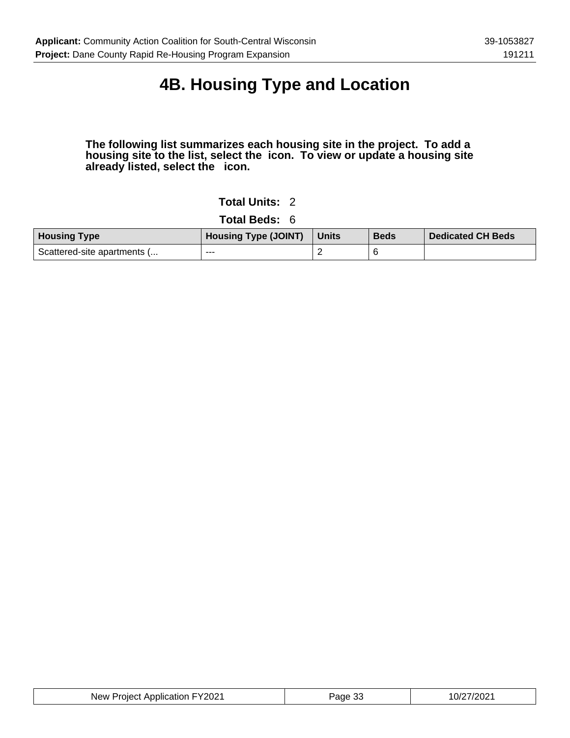# **4B. Housing Type and Location**

#### **The following list summarizes each housing site in the project. To add a housing site to the list, select the icon. To view or update a housing site already listed, select the icon.**

### **Total Units:** 2

**Total Beds:** 6

| <b>Housing Type</b>         | <b>Housing Type (JOINT)</b> | <b>Units</b> | <b>Beds</b> | <b>Dedicated CH Beds</b> |
|-----------------------------|-----------------------------|--------------|-------------|--------------------------|
| Scattered-site apartments ( | ---                         |              |             |                          |

| New Project Application FY2021 | Page 33 | 10/27/2021 |
|--------------------------------|---------|------------|
|--------------------------------|---------|------------|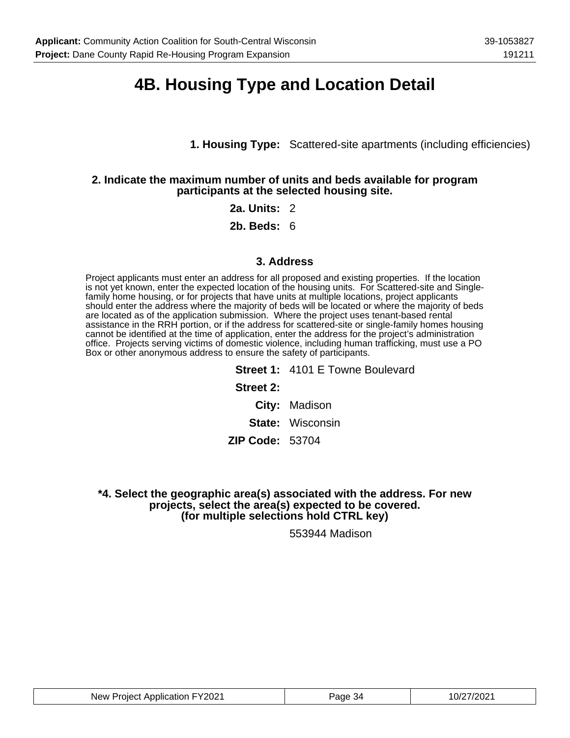### **4B. Housing Type and Location Detail**

**1. Housing Type:** Scattered-site apartments (including efficiencies)

#### **2. Indicate the maximum number of units and beds available for program participants at the selected housing site.**

#### **2a. Units:** 2

**2b. Beds:** 6

#### **3. Address**

Project applicants must enter an address for all proposed and existing properties. If the location is not yet known, enter the expected location of the housing units. For Scattered-site and Singlefamily home housing, or for projects that have units at multiple locations, project applicants should enter the address where the majority of beds will be located or where the majority of beds are located as of the application submission. Where the project uses tenant-based rental assistance in the RRH portion, or if the address for scattered-site or single-family homes housing cannot be identified at the time of application, enter the address for the project's administration office. Projects serving victims of domestic violence, including human trafficking, must use a PO Box or other anonymous address to ensure the safety of participants.

> **Street 1:** 4101 E Towne Boulevard **Street 2: City:** Madison **State:** Wisconsin **ZIP Code:** 53704

**\*4. Select the geographic area(s) associated with the address. For new projects, select the area(s) expected to be covered. (for multiple selections hold CTRL key)**

553944 Madison

| New Project Application FY2021 | -34<br>ade | ⊺′′?∩?1<br>10/2<br>wz |
|--------------------------------|------------|-----------------------|
|--------------------------------|------------|-----------------------|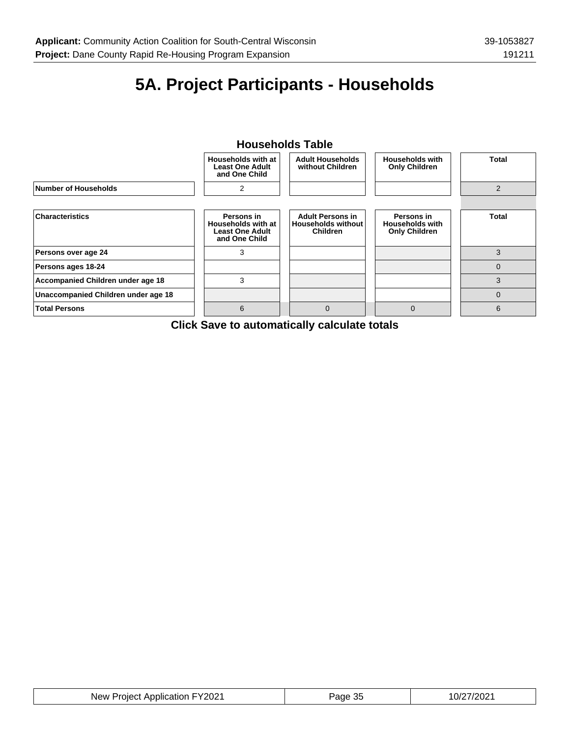# **5A. Project Participants - Households**

### **Households Table**



**Click Save to automatically calculate totals**

| New Project Application FY2021 | Page 35 | 10/27/2021 |
|--------------------------------|---------|------------|
|--------------------------------|---------|------------|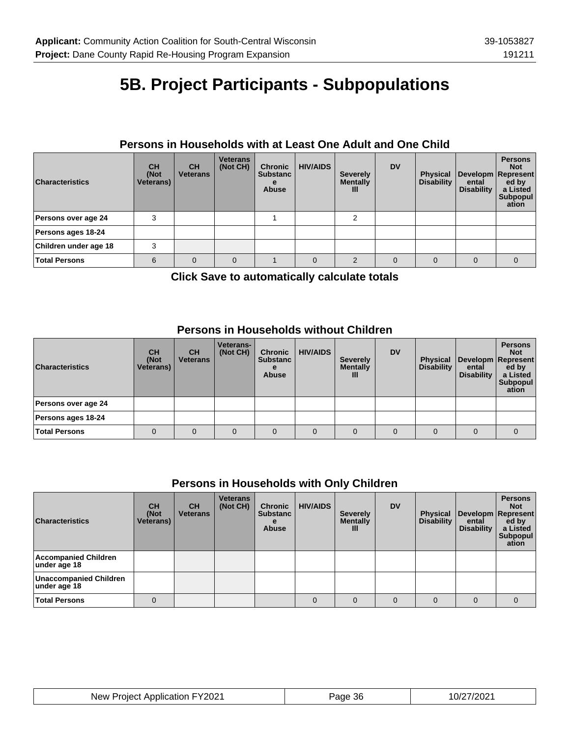# **5B. Project Participants - Subpopulations**

### **Persons in Households with at Least One Adult and One Child**

| <b>Characteristics</b> | <b>CH</b><br>(Not<br><b>Veterans</b> ) | <b>CH</b><br><b>Veterans</b> | <b>Veterans</b><br>(Not CH) | <b>Chronic</b><br><b>Substanc</b><br><b>Abuse</b> | <b>HIV/AIDS</b> | <b>Severely</b><br><b>Mentally</b><br>Ш | <b>DV</b> | <b>Physical</b><br>Disability | ental<br><b>Disability</b> | <b>Persons</b><br><b>Not</b><br>Developm   Represent  <br>ed by<br>a Listed<br>Subpopul<br>ation |
|------------------------|----------------------------------------|------------------------------|-----------------------------|---------------------------------------------------|-----------------|-----------------------------------------|-----------|-------------------------------|----------------------------|--------------------------------------------------------------------------------------------------|
| Persons over age 24    | 3                                      |                              |                             |                                                   |                 |                                         |           |                               |                            |                                                                                                  |
| Persons ages 18-24     |                                        |                              |                             |                                                   |                 |                                         |           |                               |                            |                                                                                                  |
| Children under age 18  | 3                                      |                              |                             |                                                   |                 |                                         |           |                               |                            |                                                                                                  |
| <b>Total Persons</b>   | 6                                      | $\Omega$                     | $\Omega$                    |                                                   |                 | $\mathfrak{p}$                          | $\Omega$  | $\Omega$                      | $\Omega$                   | $\Omega$                                                                                         |

**Click Save to automatically calculate totals**

### **Persons in Households without Children**

| <b>Characteristics</b> | <b>CH</b><br>(Not<br><b>Veterans</b> ) | <b>CH</b><br><b>Veterans</b> | <b>Veterans-</b><br>(Not CH) | <b>Chronic</b><br><b>Substanc</b><br><b>Abuse</b> | <b>HIV/AIDS</b> | <b>Severely</b><br><b>Mentally</b><br>Ш | <b>DV</b> | <b>Physical</b><br><b>Disability</b> | ental<br><b>Disability</b> | <b>Persons</b><br><b>Not</b><br>Developm Represent<br>ed by<br>a Listed<br>Subpopul<br>ation |
|------------------------|----------------------------------------|------------------------------|------------------------------|---------------------------------------------------|-----------------|-----------------------------------------|-----------|--------------------------------------|----------------------------|----------------------------------------------------------------------------------------------|
| Persons over age 24    |                                        |                              |                              |                                                   |                 |                                         |           |                                      |                            |                                                                                              |
| Persons ages 18-24     |                                        |                              |                              |                                                   |                 |                                         |           |                                      |                            |                                                                                              |
| <b>Total Persons</b>   |                                        | 0                            | 0                            | 0                                                 | $\Omega$        | $\Omega$                                | $\Omega$  | $\Omega$                             | $\Omega$                   |                                                                                              |

### **Persons in Households with Only Children**

| <b>Characteristics</b>                 | <b>CH</b><br>(Not<br><b>Veterans</b> ) | <b>CH</b><br><b>Veterans</b> | <b>Veterans</b><br>(Not CH) | <b>Chronic</b><br><b>Substanc</b><br>е<br><b>Abuse</b> | <b>HIV/AIDS</b> | <b>Severely</b><br><b>Mentally</b><br>$\mathbf{III}$ | <b>DV</b> | <b>Physical</b><br><b>Disability</b> | ental<br><b>Disability</b> | <b>Persons</b><br><b>Not</b><br>Developm Represent<br>ed by<br>a Listed<br>Subpopul<br>ation |
|----------------------------------------|----------------------------------------|------------------------------|-----------------------------|--------------------------------------------------------|-----------------|------------------------------------------------------|-----------|--------------------------------------|----------------------------|----------------------------------------------------------------------------------------------|
| Accompanied Children<br>under age 18   |                                        |                              |                             |                                                        |                 |                                                      |           |                                      |                            |                                                                                              |
| Unaccompanied Children<br>under age 18 |                                        |                              |                             |                                                        |                 |                                                      |           |                                      |                            |                                                                                              |
| <b>Total Persons</b>                   | $\Omega$                               |                              |                             |                                                        | 0               | $\Omega$                                             | $\Omega$  | $\Omega$                             | $\Omega$                   |                                                                                              |

| New Project Application FY2021 | Page 36 | 10/27/2021 |
|--------------------------------|---------|------------|
|--------------------------------|---------|------------|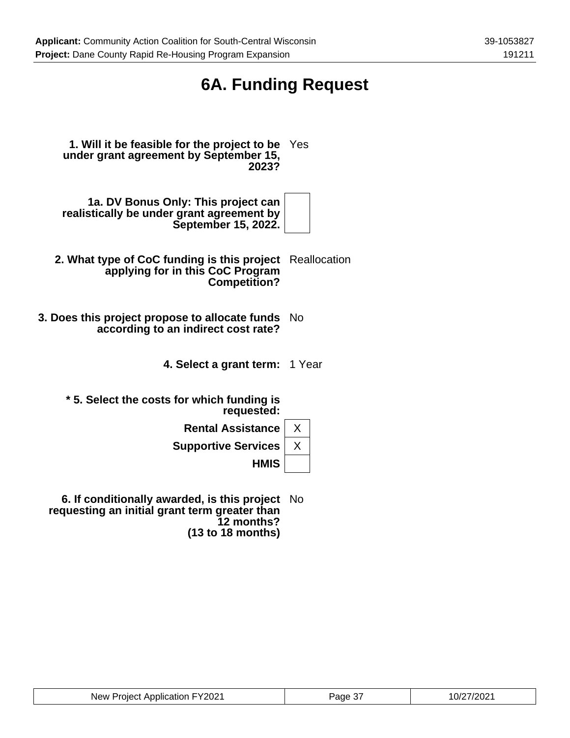# **6A. Funding Request**

**1. Will it be feasible for the project to be** Yes **under grant agreement by September 15, 2023?**

**1a. DV Bonus Only: This project can realistically be under grant agreement by September 15, 2022.**

- **2. What type of CoC funding is this project** Reallocation **applying for in this CoC Program Competition?**
- **3. Does this project propose to allocate funds** No **according to an indirect cost rate?**
	- **4. Select a grant term:** 1 Year

**\* 5. Select the costs for which funding is requested:**

**Rental Assistance** | X

**Supportive Services** | X

**HMIS**

**6. If conditionally awarded, is this project** No **requesting an initial grant term greater than 12 months? (13 to 18 months)**

| New Project Application FY2021 | Page 37 | 10/27/2021 |
|--------------------------------|---------|------------|
|--------------------------------|---------|------------|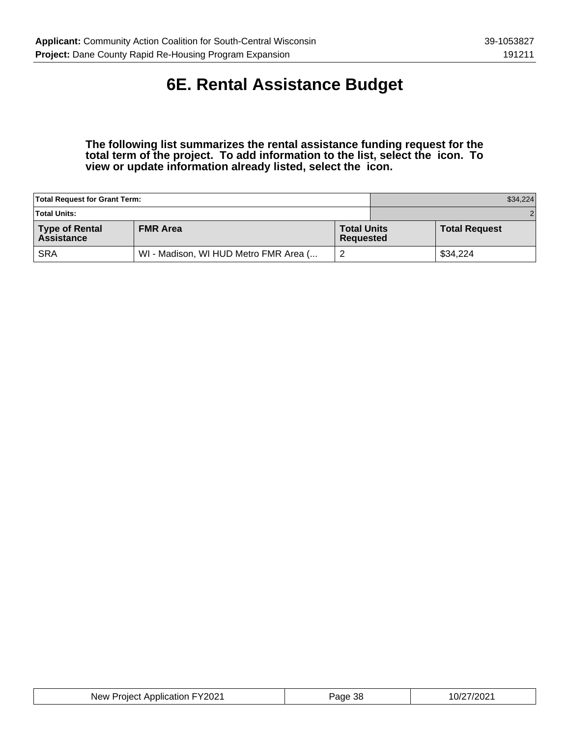### **6E. Rental Assistance Budget**

**The following list summarizes the rental assistance funding request for the total term of the project. To add information to the list, select the icon. To view or update information already listed, select the icon.**

| <b>Total Request for Grant Term:</b>       |                                       | \$34,224                        |  |                      |  |
|--------------------------------------------|---------------------------------------|---------------------------------|--|----------------------|--|
| <b>Total Units:</b>                        |                                       |                                 |  | 2 <sup>1</sup>       |  |
| <b>Type of Rental</b><br><b>Assistance</b> | <b>FMR Area</b>                       | <b>Total Units</b><br>Requested |  | <b>Total Request</b> |  |
| <b>SRA</b>                                 | WI - Madison, WI HUD Metro FMR Area ( |                                 |  | \$34,224             |  |

| New Project Application FY2021 | Page 38 | 10/27/2021 |
|--------------------------------|---------|------------|
|--------------------------------|---------|------------|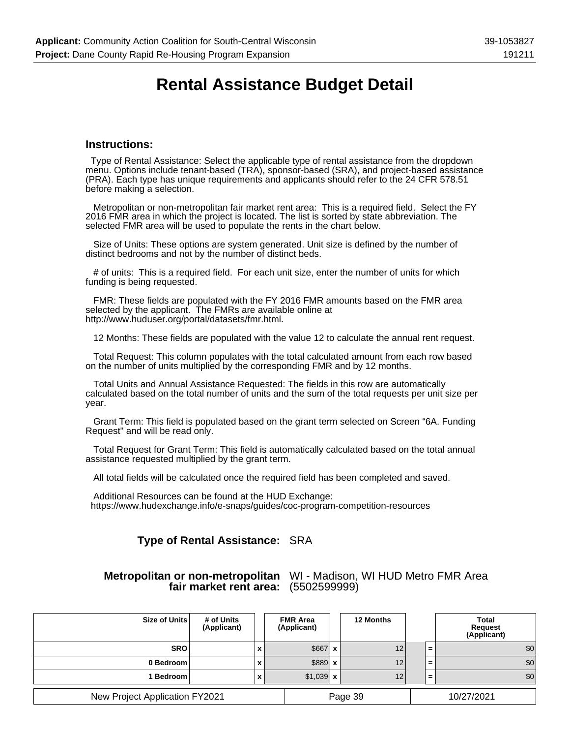### **Rental Assistance Budget Detail**

#### **Instructions:**

 Type of Rental Assistance: Select the applicable type of rental assistance from the dropdown menu. Options include tenant-based (TRA), sponsor-based (SRA), and project-based assistance (PRA). Each type has unique requirements and applicants should refer to the 24 CFR 578.51 before making a selection.

 Metropolitan or non-metropolitan fair market rent area: This is a required field. Select the FY 2016 FMR area in which the project is located. The list is sorted by state abbreviation. The selected FMR area will be used to populate the rents in the chart below.

 Size of Units: These options are system generated. Unit size is defined by the number of distinct bedrooms and not by the number of distinct beds.

 # of units: This is a required field. For each unit size, enter the number of units for which funding is being requested.

 FMR: These fields are populated with the FY 2016 FMR amounts based on the FMR area selected by the applicant. The FMRs are available online at http://www.huduser.org/portal/datasets/fmr.html.

12 Months: These fields are populated with the value 12 to calculate the annual rent request.

 Total Request: This column populates with the total calculated amount from each row based on the number of units multiplied by the corresponding FMR and by 12 months.

 Total Units and Annual Assistance Requested: The fields in this row are automatically calculated based on the total number of units and the sum of the total requests per unit size per year.

 Grant Term: This field is populated based on the grant term selected on Screen "6A. Funding Request" and will be read only.

 Total Request for Grant Term: This field is automatically calculated based on the total annual assistance requested multiplied by the grant term.

All total fields will be calculated once the required field has been completed and saved.

 Additional Resources can be found at the HUD Exchange: https://www.hudexchange.info/e-snaps/guides/coc-program-competition-resources

#### **Type of Rental Assistance:** SRA

#### **Metropolitan or non-metropolitan** WI - Madison, WI HUD Metro FMR Area **fair market rent area:** (5502599999)

| Size of Units                  | # of Units<br>(Applicant) | <b>FMR Area</b><br>(Applicant) | <b>12 Months</b> |          | <b>Total</b><br><b>Request</b><br>(Applicant) |
|--------------------------------|---------------------------|--------------------------------|------------------|----------|-----------------------------------------------|
| <b>SRO</b>                     | X                         | $$667$ $x$                     | 12               | $\equiv$ | \$0                                           |
| 0 Bedroom                      | X                         | $$889$ $x$                     | 12               | $\equiv$ | \$0                                           |
| <b>Bedroom</b>                 | X                         | $$1,039$ x                     | 12               | $\equiv$ | \$0                                           |
| New Project Application FY2021 |                           |                                | Page 39          |          | 10/27/2021                                    |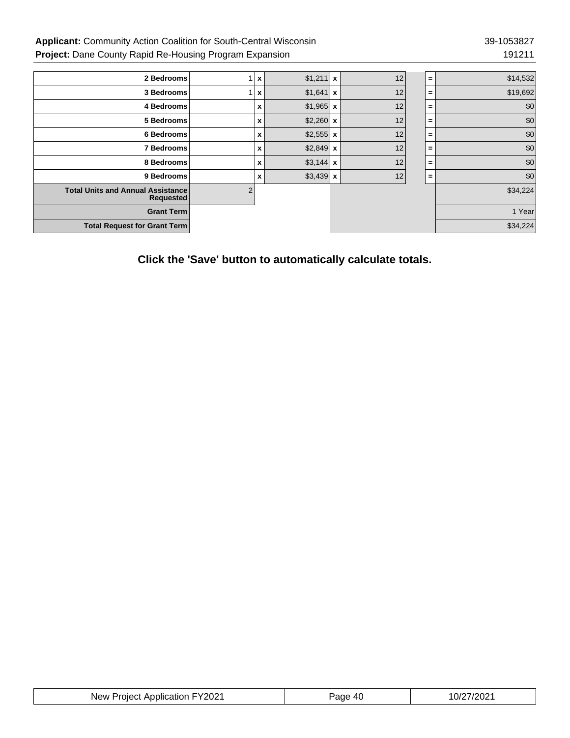### Applicant: Community Action Coalition for South-Central Wisconsin 39-1053827 **Project:** Dane County Rapid Re-Housing Program Expansion 191211 191211

| 2 Bedrooms                                                   |   | $\boldsymbol{\mathsf{x}}$ | $$1,211$ x | 12 | $\equiv$ | \$14,532 |
|--------------------------------------------------------------|---|---------------------------|------------|----|----------|----------|
| 3 Bedrooms                                                   |   | X                         | $$1,641$ x | 12 | $=$      | \$19,692 |
| 4 Bedrooms                                                   |   | X                         | $$1,965$ x | 12 | $\equiv$ | \$0      |
| 5 Bedrooms                                                   |   | X                         | $$2,260$ x | 12 | $\equiv$ | \$0      |
| 6 Bedrooms                                                   |   | X                         | $$2,555$ x | 12 | $\equiv$ | \$0      |
| 7 Bedrooms                                                   |   | X                         | $$2,849$ x | 12 | $\equiv$ | \$0      |
| 8 Bedrooms                                                   |   | x                         | $$3,144$ x | 12 | $\equiv$ | \$0      |
| 9 Bedrooms                                                   |   | X                         | $$3,439$ x | 12 | $=$      | \$0      |
| <b>Total Units and Annual Assistance</b><br><b>Requested</b> | 2 |                           |            |    |          | \$34,224 |
| <b>Grant Term</b>                                            |   |                           |            |    |          | 1 Year   |
| <b>Total Request for Grant Term</b>                          |   |                           |            |    |          | \$34,224 |

**Click the 'Save' button to automatically calculate totals.**

| New Project Application FY2021 | Page 40 | 10/27/2021 |
|--------------------------------|---------|------------|
|--------------------------------|---------|------------|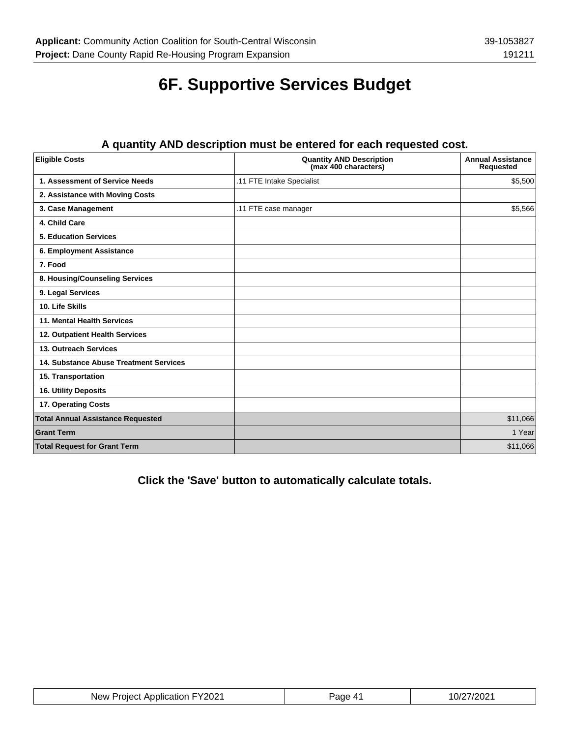# **6F. Supportive Services Budget**

| <b>Eligible Costs</b>                    | <b>Quantity AND Description</b><br>(max 400 characters) | <b>Annual Assistance</b><br><b>Requested</b> |
|------------------------------------------|---------------------------------------------------------|----------------------------------------------|
| 1. Assessment of Service Needs           | .11 FTE Intake Specialist                               | \$5,500                                      |
| 2. Assistance with Moving Costs          |                                                         |                                              |
| 3. Case Management                       | .11 FTE case manager                                    | \$5,566                                      |
| 4. Child Care                            |                                                         |                                              |
| <b>5. Education Services</b>             |                                                         |                                              |
| 6. Employment Assistance                 |                                                         |                                              |
| 7. Food                                  |                                                         |                                              |
| 8. Housing/Counseling Services           |                                                         |                                              |
| 9. Legal Services                        |                                                         |                                              |
| 10. Life Skills                          |                                                         |                                              |
| 11. Mental Health Services               |                                                         |                                              |
| 12. Outpatient Health Services           |                                                         |                                              |
| 13. Outreach Services                    |                                                         |                                              |
| 14. Substance Abuse Treatment Services   |                                                         |                                              |
| 15. Transportation                       |                                                         |                                              |
| 16. Utility Deposits                     |                                                         |                                              |
| 17. Operating Costs                      |                                                         |                                              |
| <b>Total Annual Assistance Requested</b> |                                                         | \$11,066                                     |
| <b>Grant Term</b>                        |                                                         | 1 Year                                       |
| <b>Total Request for Grant Term</b>      |                                                         | \$11,066                                     |

### **A quantity AND description must be entered for each requested cost.**

**Click the 'Save' button to automatically calculate totals.**

| New Project Application FY2021 | Page 41 | 10/27/2021 |
|--------------------------------|---------|------------|
|--------------------------------|---------|------------|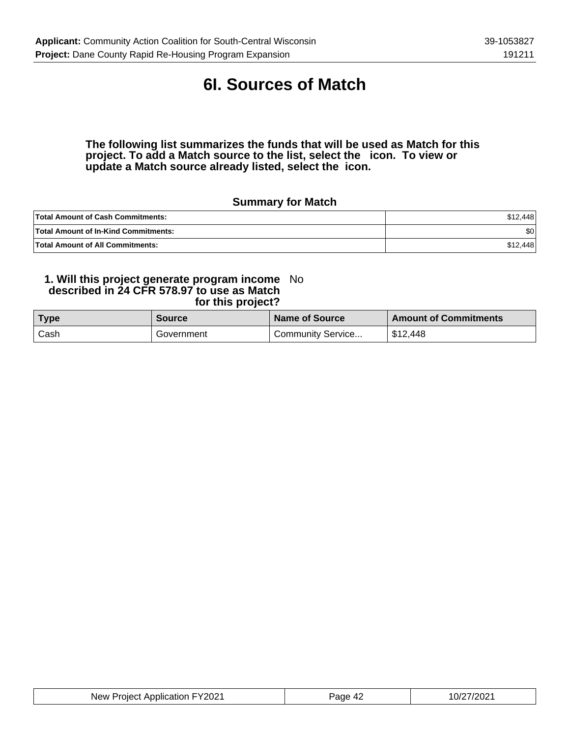### **6I. Sources of Match**

**The following list summarizes the funds that will be used as Match for this project. To add a Match source to the list, select the icon. To view or update a Match source already listed, select the icon.**

### **Summary for Match**

| <b>Total Amount of Cash Commitments:</b>    | \$12,448 |
|---------------------------------------------|----------|
| <b>Total Amount of In-Kind Commitments:</b> | \$0      |
| <b>Total Amount of All Commitments:</b>     | \$12,448 |

#### **1. Will this project generate program income described in 24 CFR 578.97 to use as Match for this project?** No

| <b>Type</b> | <b>Source</b> | Name of Source      | <b>Amount of Commitments</b> |
|-------------|---------------|---------------------|------------------------------|
| Cash        | Government    | ' Community Service | \$12,448                     |

| New Project Application FY2021 | Page 42 | 10/27/2021 |
|--------------------------------|---------|------------|
|--------------------------------|---------|------------|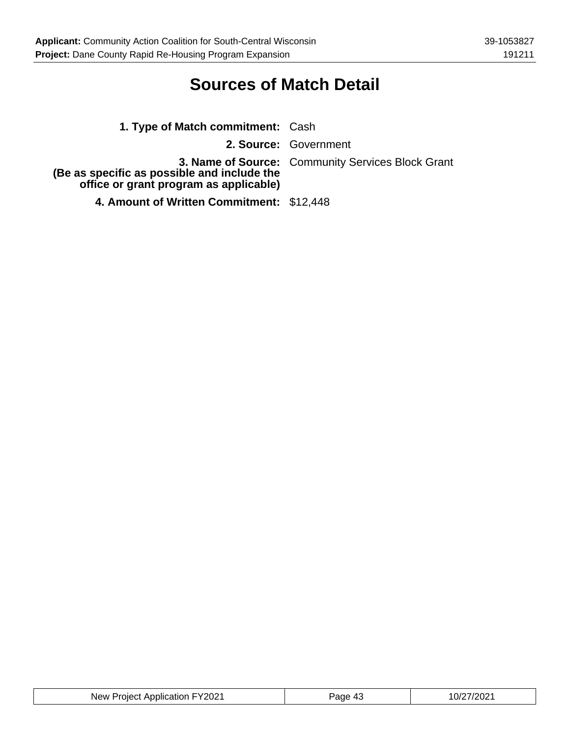### **Sources of Match Detail**

| 1. Type of Match commitment: Cash                                                     |                                                          |
|---------------------------------------------------------------------------------------|----------------------------------------------------------|
|                                                                                       | 2. Source: Government                                    |
| (Be as specific as possible and include the<br>office or grant program as applicable) | <b>3. Name of Source:</b> Community Services Block Grant |
| 4. Amount of Written Commitment: \$12,448                                             |                                                          |

| New Project Application FY2021 | 43<br>Page | 10/27/2021 |
|--------------------------------|------------|------------|
|--------------------------------|------------|------------|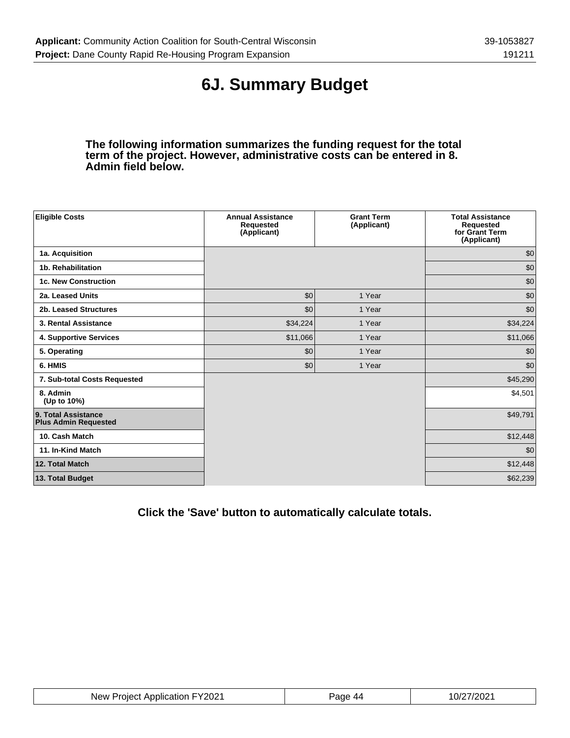# **6J. Summary Budget**

**The following information summarizes the funding request for the total term of the project. However, administrative costs can be entered in 8. Admin field below.**

| <b>Eligible Costs</b>                              | <b>Annual Assistance</b><br>Requested<br>(Applicant) | <b>Grant Term</b><br>(Applicant) | <b>Total Assistance</b><br>Requested<br>for Grant Term<br>(Applicant) |
|----------------------------------------------------|------------------------------------------------------|----------------------------------|-----------------------------------------------------------------------|
| 1a. Acquisition                                    |                                                      |                                  | \$0                                                                   |
| 1b. Rehabilitation                                 |                                                      |                                  | \$0                                                                   |
| <b>1c. New Construction</b>                        |                                                      |                                  | \$0                                                                   |
| 2a. Leased Units                                   | \$0                                                  | 1 Year                           | \$0                                                                   |
| 2b. Leased Structures                              | \$0                                                  | 1 Year                           | \$0                                                                   |
| 3. Rental Assistance                               | \$34,224                                             | 1 Year                           | \$34,224                                                              |
| 4. Supportive Services                             | \$11,066                                             | 1 Year                           | \$11,066                                                              |
| 5. Operating                                       | \$0                                                  | 1 Year                           | \$0                                                                   |
| 6. HMIS                                            | \$0                                                  | 1 Year                           | \$0                                                                   |
| 7. Sub-total Costs Requested                       |                                                      |                                  | \$45,290                                                              |
| 8. Admin<br>(Up to 10%)                            |                                                      |                                  | \$4,501                                                               |
| 9. Total Assistance<br><b>Plus Admin Requested</b> |                                                      |                                  | \$49,791                                                              |
| 10. Cash Match                                     |                                                      |                                  | \$12,448                                                              |
| 11. In-Kind Match                                  |                                                      |                                  | \$0                                                                   |
| 12. Total Match                                    |                                                      |                                  | \$12,448                                                              |
| 13. Total Budget                                   |                                                      |                                  | \$62,239                                                              |

**Click the 'Save' button to automatically calculate totals.**

| New Project Application FY2021 | Page 44 | 10/27/2021 |
|--------------------------------|---------|------------|
|--------------------------------|---------|------------|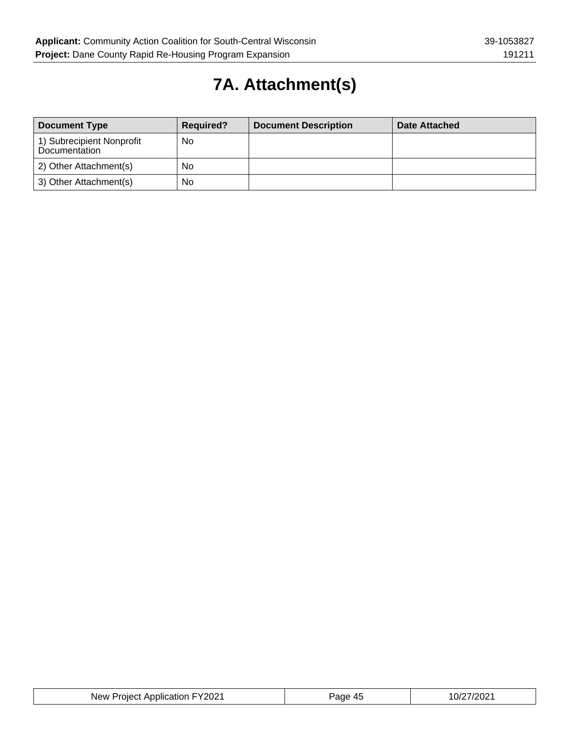# **7A. Attachment(s)**

| <b>Document Type</b>                       | <b>Required?</b> | <b>Document Description</b> | Date Attached |
|--------------------------------------------|------------------|-----------------------------|---------------|
| 1) Subrecipient Nonprofit<br>Documentation | No               |                             |               |
| 2) Other Attachment(s)                     | No               |                             |               |
| 3) Other Attachment(s)                     | No               |                             |               |

| New Project Application FY2021 | Page 45 | 10/27/2021 |
|--------------------------------|---------|------------|
|--------------------------------|---------|------------|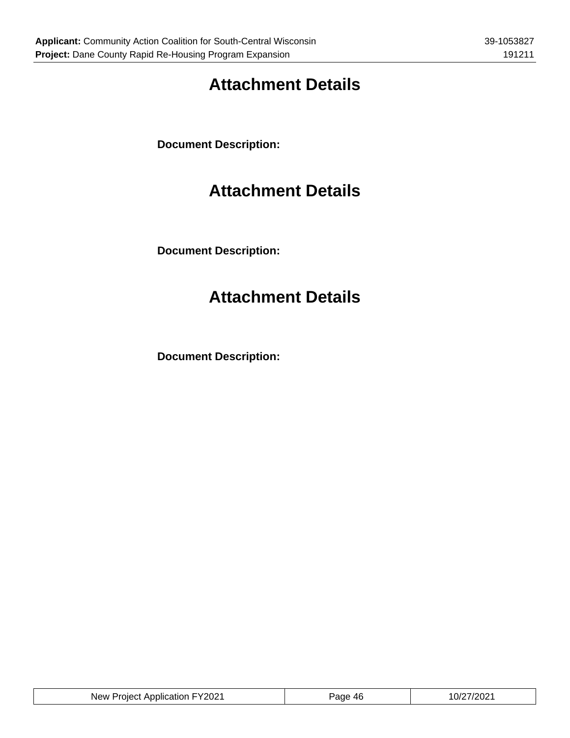# **Attachment Details**

**Document Description:**

## **Attachment Details**

**Document Description:**

# **Attachment Details**

**Document Description:**

| FY2021<br><b>Project Application</b><br>New | ЛF<br>Page<br>᠇◡ | ∠7/2021<br>0/2 |
|---------------------------------------------|------------------|----------------|
|                                             |                  |                |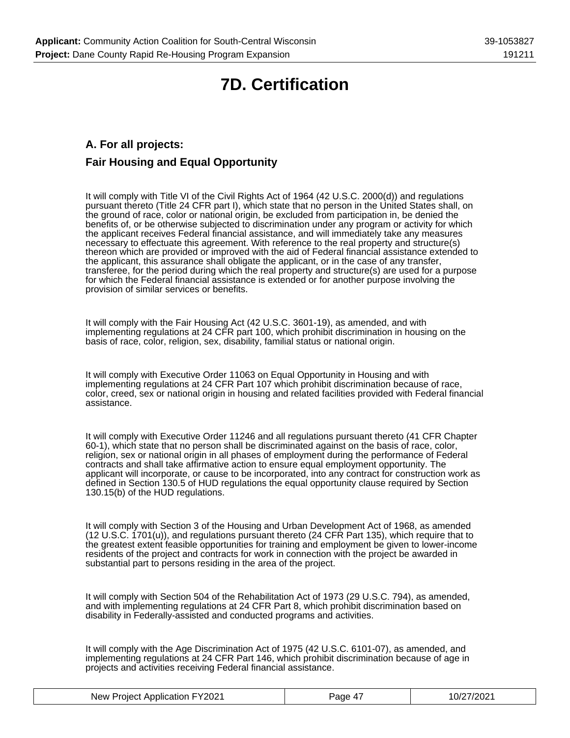# **7D. Certification**

### **A. For all projects: Fair Housing and Equal Opportunity**

It will comply with Title VI of the Civil Rights Act of 1964 (42 U.S.C. 2000(d)) and regulations pursuant thereto (Title 24 CFR part I), which state that no person in the United States shall, on the ground of race, color or national origin, be excluded from participation in, be denied the benefits of, or be otherwise subjected to discrimination under any program or activity for which the applicant receives Federal financial assistance, and will immediately take any measures necessary to effectuate this agreement. With reference to the real property and structure(s) thereon which are provided or improved with the aid of Federal financial assistance extended to the applicant, this assurance shall obligate the applicant, or in the case of any transfer, transferee, for the period during which the real property and structure(s) are used for a purpose for which the Federal financial assistance is extended or for another purpose involving the provision of similar services or benefits.

It will comply with the Fair Housing Act (42 U.S.C. 3601-19), as amended, and with implementing regulations at 24 CFR part 100, which prohibit discrimination in housing on the basis of race, color, religion, sex, disability, familial status or national origin.

It will comply with Executive Order 11063 on Equal Opportunity in Housing and with implementing regulations at 24 CFR Part 107 which prohibit discrimination because of race, color, creed, sex or national origin in housing and related facilities provided with Federal financial assistance.

It will comply with Executive Order 11246 and all regulations pursuant thereto (41 CFR Chapter 60-1), which state that no person shall be discriminated against on the basis of race, color, religion, sex or national origin in all phases of employment during the performance of Federal contracts and shall take affirmative action to ensure equal employment opportunity. The applicant will incorporate, or cause to be incorporated, into any contract for construction work as defined in Section 130.5 of HUD regulations the equal opportunity clause required by Section 130.15(b) of the HUD regulations.

It will comply with Section 3 of the Housing and Urban Development Act of 1968, as amended (12 U.S.C. 1701(u)), and regulations pursuant thereto (24 CFR Part 135), which require that to the greatest extent feasible opportunities for training and employment be given to lower-income residents of the project and contracts for work in connection with the project be awarded in substantial part to persons residing in the area of the project.

It will comply with Section 504 of the Rehabilitation Act of 1973 (29 U.S.C. 794), as amended, and with implementing regulations at 24 CFR Part 8, which prohibit discrimination based on disability in Federally-assisted and conducted programs and activities.

It will comply with the Age Discrimination Act of 1975 (42 U.S.C. 6101-07), as amended, and implementing regulations at 24 CFR Part 146, which prohibit discrimination because of age in projects and activities receiving Federal financial assistance.

| New Project Application FY2021 | Page 4, | 10/27/2021 |
|--------------------------------|---------|------------|
|--------------------------------|---------|------------|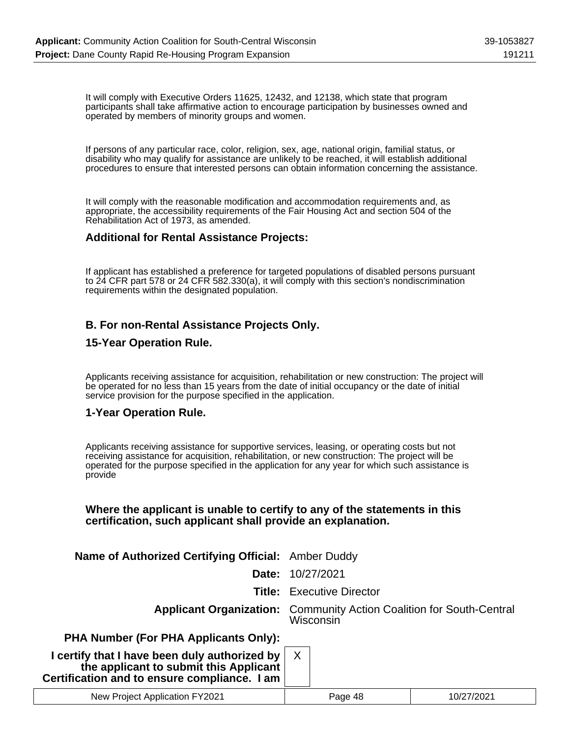It will comply with Executive Orders 11625, 12432, and 12138, which state that program participants shall take affirmative action to encourage participation by businesses owned and operated by members of minority groups and women.

If persons of any particular race, color, religion, sex, age, national origin, familial status, or disability who may qualify for assistance are unlikely to be reached, it will establish additional procedures to ensure that interested persons can obtain information concerning the assistance.

It will comply with the reasonable modification and accommodation requirements and, as appropriate, the accessibility requirements of the Fair Housing Act and section 504 of the Rehabilitation Act of 1973, as amended.

#### **Additional for Rental Assistance Projects:**

If applicant has established a preference for targeted populations of disabled persons pursuant to 24 CFR part 578 or 24 CFR 582.330(a), it will comply with this section's nondiscrimination requirements within the designated population.

### **B. For non-Rental Assistance Projects Only.**

#### **15-Year Operation Rule.**

Applicants receiving assistance for acquisition, rehabilitation or new construction: The project will be operated for no less than 15 years from the date of initial occupancy or the date of initial service provision for the purpose specified in the application.

#### **1-Year Operation Rule.**

Applicants receiving assistance for supportive services, leasing, or operating costs but not receiving assistance for acquisition, rehabilitation, or new construction: The project will be operated for the purpose specified in the application for any year for which such assistance is provide

#### **Where the applicant is unable to certify to any of the statements in this certification, such applicant shall provide an explanation.**

| Name of Authorized Certifying Official: Amber Duddy                                                                                     |                                                                                          |
|-----------------------------------------------------------------------------------------------------------------------------------------|------------------------------------------------------------------------------------------|
| Date:                                                                                                                                   | 10/27/2021                                                                               |
|                                                                                                                                         | <b>Title:</b> Executive Director                                                         |
|                                                                                                                                         | <b>Applicant Organization:</b> Community Action Coalition for South-Central<br>Wisconsin |
| <b>PHA Number (For PHA Applicants Only):</b>                                                                                            |                                                                                          |
| I certify that I have been duly authorized by<br>the applicant to submit this Applicant<br>Certification and to ensure compliance. I am | $\mathsf{X}$                                                                             |
|                                                                                                                                         |                                                                                          |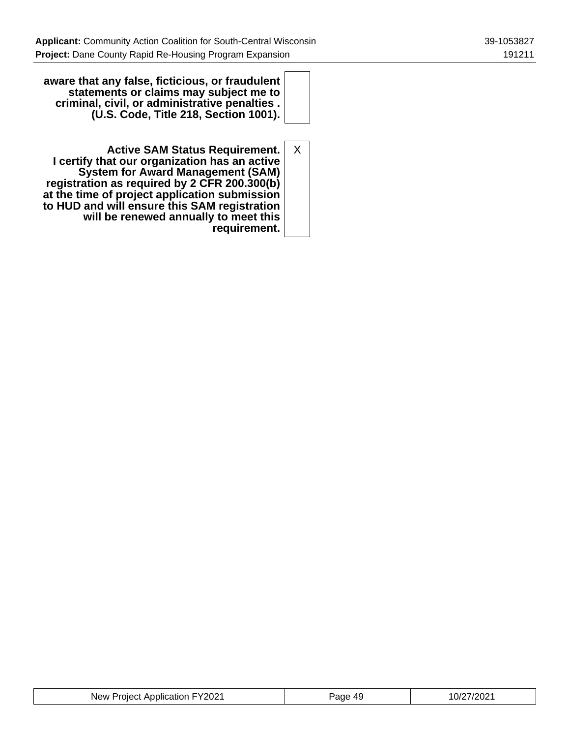**aware that any false, ficticious, or fraudulent statements or claims may subject me to criminal, civil, or administrative penalties . (U.S. Code, Title 218, Section 1001).**

**Active SAM Status Requirement. I certify that our organization has an active System for Award Management (SAM) registration as required by 2 CFR 200.300(b) at the time of project application submission to HUD and will ensure this SAM registration will be renewed annually to meet this requirement.** X

| tion FY2021<br>New Project Application FY. | $\Delta$ C<br>Page<br>᠇៶ | 10/27/2021 |
|--------------------------------------------|--------------------------|------------|
|--------------------------------------------|--------------------------|------------|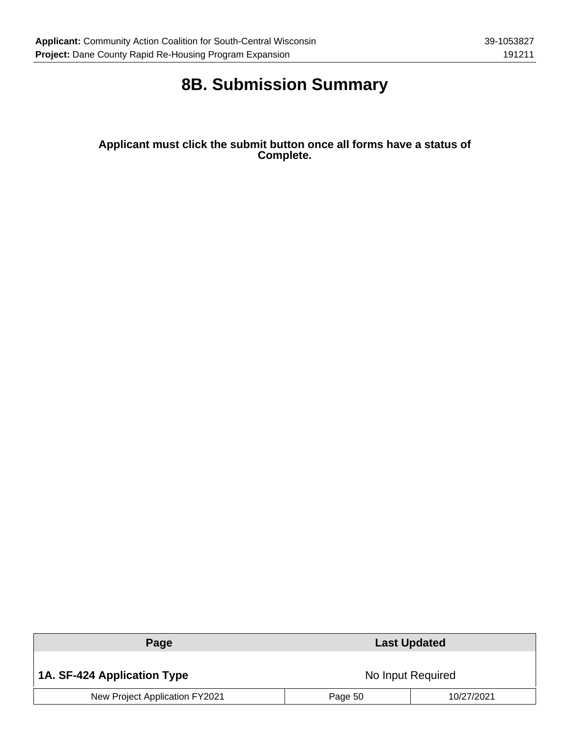# **8B. Submission Summary**

**Applicant must click the submit button once all forms have a status of Complete.**

| Page                           | <b>Last Updated</b> |            |
|--------------------------------|---------------------|------------|
| 1A. SF-424 Application Type    | No Input Required   |            |
| New Project Application FY2021 | Page 50             | 10/27/2021 |